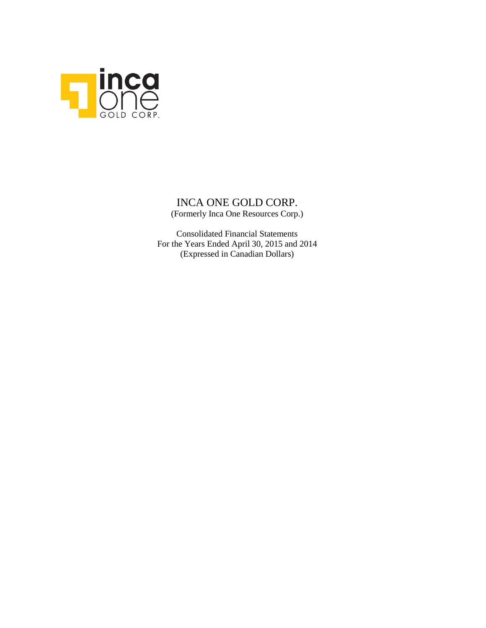

# INCA ONE GOLD CORP. (Formerly Inca One Resources Corp.)

Consolidated Financial Statements For the Years Ended April 30, 2015 and 2014 (Expressed in Canadian Dollars)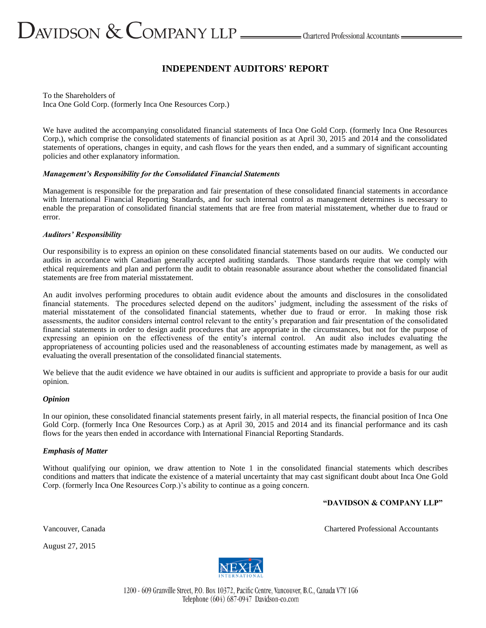# **INDEPENDENT AUDITORS' REPORT**

To the Shareholders of Inca One Gold Corp. (formerly Inca One Resources Corp.)

We have audited the accompanying consolidated financial statements of Inca One Gold Corp. (formerly Inca One Resources Corp.), which comprise the consolidated statements of financial position as at April 30, 2015 and 2014 and the consolidated statements of operations, changes in equity, and cash flows for the years then ended, and a summary of significant accounting policies and other explanatory information.

#### *Management's Responsibility for the Consolidated Financial Statements*

Management is responsible for the preparation and fair presentation of these consolidated financial statements in accordance with International Financial Reporting Standards, and for such internal control as management determines is necessary to enable the preparation of consolidated financial statements that are free from material misstatement, whether due to fraud or error.

#### *Auditors' Responsibility*

Our responsibility is to express an opinion on these consolidated financial statements based on our audits. We conducted our audits in accordance with Canadian generally accepted auditing standards. Those standards require that we comply with ethical requirements and plan and perform the audit to obtain reasonable assurance about whether the consolidated financial statements are free from material misstatement.

An audit involves performing procedures to obtain audit evidence about the amounts and disclosures in the consolidated financial statements. The procedures selected depend on the auditors' judgment, including the assessment of the risks of material misstatement of the consolidated financial statements, whether due to fraud or error. In making those risk assessments, the auditor considers internal control relevant to the entity's preparation and fair presentation of the consolidated financial statements in order to design audit procedures that are appropriate in the circumstances, but not for the purpose of expressing an opinion on the effectiveness of the entity's internal control. An audit also includes evaluating the appropriateness of accounting policies used and the reasonableness of accounting estimates made by management, as well as evaluating the overall presentation of the consolidated financial statements.

We believe that the audit evidence we have obtained in our audits is sufficient and appropriate to provide a basis for our audit opinion.

#### *Opinion*

In our opinion, these consolidated financial statements present fairly, in all material respects, the financial position of Inca One Gold Corp. (formerly Inca One Resources Corp.) as at April 30, 2015 and 2014 and its financial performance and its cash flows for the years then ended in accordance with International Financial Reporting Standards.

#### *Emphasis of Matter*

Without qualifying our opinion, we draw attention to Note 1 in the consolidated financial statements which describes conditions and matters that indicate the existence of a material uncertainty that may cast significant doubt about Inca One Gold Corp. (formerly Inca One Resources Corp.)'s ability to continue as a going concern.

**"DAVIDSON & COMPANY LLP"**

Vancouver, Canada Chartered Professional Accountants

August 27, 2015



1200 - 609 Granville Street, P.O. Box 10372, Pacific Centre, Vancouver, B.C., Canada V7Y 1G6 Telephone (604) 687-0947 Davidson-co.com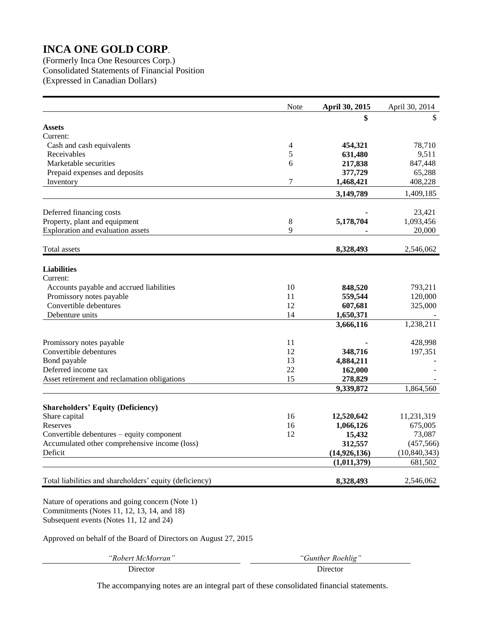(Formerly Inca One Resources Corp.) Consolidated Statements of Financial Position (Expressed in Canadian Dollars)

|                                                                                               | Note     | April 30, 2015                | April 30, 2014            |
|-----------------------------------------------------------------------------------------------|----------|-------------------------------|---------------------------|
|                                                                                               |          |                               | \$                        |
| <b>Assets</b>                                                                                 |          |                               |                           |
| Current:                                                                                      |          |                               |                           |
| Cash and cash equivalents                                                                     | 4        | 454,321                       | 78,710                    |
| Receivables                                                                                   | 5        | 631,480                       | 9,511                     |
| Marketable securities                                                                         | 6        | 217,838                       | 847,448                   |
| Prepaid expenses and deposits                                                                 |          | 377,729                       | 65,288                    |
| Inventory                                                                                     | 7        | 1,468,421                     | 408,228                   |
|                                                                                               |          | 3,149,789                     | 1,409,185                 |
| Deferred financing costs                                                                      |          |                               | 23,421                    |
| Property, plant and equipment                                                                 | 8        | 5,178,704                     | 1,093,456                 |
| Exploration and evaluation assets                                                             | 9        |                               | 20,000                    |
|                                                                                               |          |                               |                           |
| Total assets                                                                                  |          | 8,328,493                     | 2,546,062                 |
| <b>Liabilities</b>                                                                            |          |                               |                           |
| Current:                                                                                      |          |                               |                           |
| Accounts payable and accrued liabilities                                                      | 10       | 848,520                       | 793,211                   |
| Promissory notes payable                                                                      | 11       | 559,544                       | 120,000                   |
| Convertible debentures                                                                        | 12       | 607,681                       | 325,000                   |
| Debenture units                                                                               | 14       | 1,650,371                     |                           |
|                                                                                               |          | 3,666,116                     | 1,238,211                 |
| Promissory notes payable                                                                      | 11       |                               | 428,998                   |
| Convertible debentures                                                                        | 12       | 348,716                       | 197,351                   |
| Bond payable                                                                                  | 13       | 4,884,211                     |                           |
| Deferred income tax                                                                           | 22       | 162,000                       |                           |
| Asset retirement and reclamation obligations                                                  | 15       | 278,829                       |                           |
|                                                                                               |          | 9,339,872                     | 1,864,560                 |
|                                                                                               |          |                               |                           |
| <b>Shareholders' Equity (Deficiency)</b>                                                      |          |                               |                           |
| Share capital                                                                                 | 16       | 12,520,642                    | 11,231,319                |
| Reserves                                                                                      | 16<br>12 | 1,066,126                     | 675,005                   |
| Convertible debentures - equity component                                                     |          | 15,432                        | 73,087                    |
| Accumulated other comprehensive income (loss)                                                 |          | 312,557                       | (457, 566)                |
| Deficit                                                                                       |          | (14, 926, 136)<br>(1,011,379) | (10, 840, 343)<br>681,502 |
|                                                                                               |          |                               |                           |
| Total liabilities and shareholders' equity (deficiency)                                       |          | 8,328,493                     | 2,546,062                 |
| Nature of operations and going concern (Note 1)<br>Commitments (Notes 11, 12, 13, 14, and 18) |          |                               |                           |

Subsequent events (Notes 11, 12 and 24)

Approved on behalf of the Board of Directors on August 27, 2015

*"Robert McMorran" "Gunther Roehlig"*

Director Director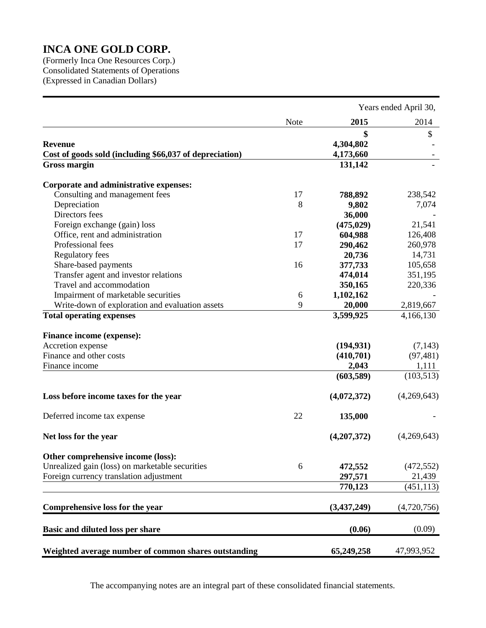(Formerly Inca One Resources Corp.) Consolidated Statements of Operations (Expressed in Canadian Dollars)

|                                                         |      |             | Years ended April 30, |
|---------------------------------------------------------|------|-------------|-----------------------|
|                                                         | Note | 2015        | 2014                  |
|                                                         |      | \$          | \$                    |
| <b>Revenue</b>                                          |      | 4,304,802   |                       |
| Cost of goods sold (including \$66,037 of depreciation) |      | 4,173,660   |                       |
| <b>Gross margin</b>                                     |      | 131,142     |                       |
| Corporate and administrative expenses:                  |      |             |                       |
| Consulting and management fees                          | 17   | 788,892     | 238,542               |
| Depreciation                                            | 8    | 9,802       | 7,074                 |
| Directors fees                                          |      | 36,000      |                       |
| Foreign exchange (gain) loss                            |      | (475, 029)  | 21,541                |
| Office, rent and administration                         | 17   | 604,988     | 126,408               |
| Professional fees                                       | 17   | 290,462     | 260,978               |
| <b>Regulatory fees</b>                                  |      | 20,736      | 14,731                |
| Share-based payments                                    | 16   | 377,733     | 105,658               |
| Transfer agent and investor relations                   |      | 474,014     | 351,195               |
| Travel and accommodation                                |      | 350,165     | 220,336               |
| Impairment of marketable securities                     | 6    | 1,102,162   |                       |
| Write-down of exploration and evaluation assets         | 9    | 20,000      | 2,819,667             |
| <b>Total operating expenses</b>                         |      | 3,599,925   | 4,166,130             |
| Finance income (expense):                               |      |             |                       |
| Accretion expense                                       |      | (194, 931)  | (7,143)               |
| Finance and other costs                                 |      | (410,701)   | (97, 481)             |
| Finance income                                          |      | 2,043       | 1,111                 |
|                                                         |      | (603,589)   | (103, 513)            |
| Loss before income taxes for the year                   |      | (4,072,372) | (4,269,643)           |
| Deferred income tax expense                             | 22   | 135,000     |                       |
| Net loss for the year                                   |      | (4,207,372) | (4,269,643)           |
| Other comprehensive income (loss):                      |      |             |                       |
| Unrealized gain (loss) on marketable securities         | 6    | 472,552     | (472, 552)            |
| Foreign currency translation adjustment                 |      | 297,571     | 21,439                |
|                                                         |      | 770,123     | (451, 113)            |
| Comprehensive loss for the year                         |      | (3,437,249) | (4,720,756)           |
| Basic and diluted loss per share                        |      | (0.06)      | (0.09)                |
| Weighted average number of common shares outstanding    |      | 65,249,258  | 47,993,952            |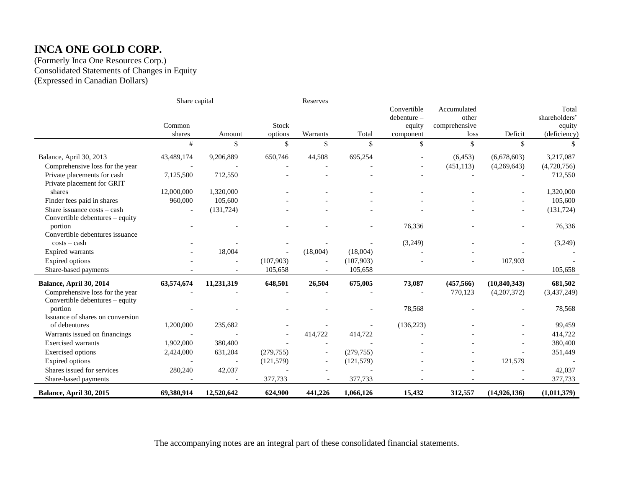(Formerly Inca One Resources Corp.) Consolidated Statements of Changes in Equity (Expressed in Canadian Dollars)

|                                                                    | Share capital    |                          |                         | Reserves                 |            |                                                  |                                               |                |                                                  |
|--------------------------------------------------------------------|------------------|--------------------------|-------------------------|--------------------------|------------|--------------------------------------------------|-----------------------------------------------|----------------|--------------------------------------------------|
|                                                                    | Common<br>shares | Amount                   | <b>Stock</b><br>options | Warrants                 | Total      | Convertible<br>debenture-<br>equity<br>component | Accumulated<br>other<br>comprehensive<br>loss | Deficit        | Total<br>shareholders'<br>equity<br>(deficiency) |
|                                                                    | #                | \$                       | \$                      | \$                       | \$         | \$                                               | \$                                            | \$             |                                                  |
| Balance, April 30, 2013                                            | 43,489,174       | 9,206,889                | 650,746                 | 44,508                   | 695,254    |                                                  | (6, 453)                                      | (6,678,603)    | 3,217,087                                        |
| Comprehensive loss for the year                                    |                  |                          |                         |                          |            |                                                  | (451, 113)                                    | (4,269,643)    | (4,720,756)                                      |
| Private placements for cash<br>Private placement for GRIT          | 7,125,500        | 712,550                  |                         |                          |            |                                                  |                                               |                | 712,550                                          |
| shares                                                             | 12,000,000       | 1,320,000                |                         |                          |            |                                                  |                                               |                | 1,320,000                                        |
| Finder fees paid in shares                                         | 960,000          | 105,600                  |                         |                          |            |                                                  |                                               |                | 105,600                                          |
| Share issuance costs – cash<br>Convertible debentures - equity     |                  | (131, 724)               |                         |                          |            |                                                  |                                               |                | (131, 724)                                       |
| portion                                                            |                  |                          |                         |                          |            | 76,336                                           |                                               |                | 76,336                                           |
| Convertible debentures issuance<br>$costs - cash$                  |                  |                          |                         |                          |            | (3,249)                                          |                                               |                | (3,249)                                          |
| Expired warrants                                                   |                  | 18,004                   |                         | (18,004)                 | (18,004)   |                                                  |                                               |                |                                                  |
| <b>Expired</b> options                                             |                  |                          | (107,903)               |                          | (107,903)  |                                                  |                                               | 107,903        |                                                  |
| Share-based payments                                               |                  |                          | 105,658                 |                          | 105,658    |                                                  |                                               |                | 105,658                                          |
| Balance, April 30, 2014                                            | 63,574,674       | 11,231,319               | 648,501                 | 26,504                   | 675,005    | 73,087                                           | (457, 566)                                    | (10, 840, 343) | 681,502                                          |
| Comprehensive loss for the year<br>Convertible debentures - equity |                  |                          |                         |                          |            |                                                  | 770,123                                       | (4,207,372)    | (3,437,249)                                      |
| portion<br>Issuance of shares on conversion                        |                  |                          |                         |                          |            | 78,568                                           |                                               |                | 78,568                                           |
| of debentures                                                      | 1,200,000        | 235,682                  |                         |                          |            | (136, 223)                                       |                                               |                | 99,459                                           |
| Warrants issued on financings                                      |                  |                          |                         | 414,722                  | 414,722    |                                                  |                                               |                | 414,722                                          |
| <b>Exercised</b> warrants                                          | 1,902,000        | 380,400                  |                         |                          |            |                                                  |                                               |                | 380,400                                          |
| Exercised options                                                  | 2,424,000        | 631,204                  | (279, 755)              |                          | (279, 755) |                                                  |                                               |                | 351,449                                          |
| Expired options                                                    |                  | $\overline{\phantom{a}}$ | (121, 579)              |                          | (121, 579) |                                                  |                                               | 121,579        |                                                  |
| Shares issued for services                                         | 280,240          | 42,037                   |                         |                          |            |                                                  |                                               |                | 42,037                                           |
| Share-based payments                                               |                  | $\overline{\phantom{a}}$ | 377,733                 | $\overline{\phantom{a}}$ | 377,733    |                                                  |                                               |                | 377,733                                          |
| Balance, April 30, 2015                                            | 69,380,914       | 12,520,642               | 624,900                 | 441,226                  | 1,066,126  | 15,432                                           | 312,557                                       | (14,926,136)   | (1,011,379)                                      |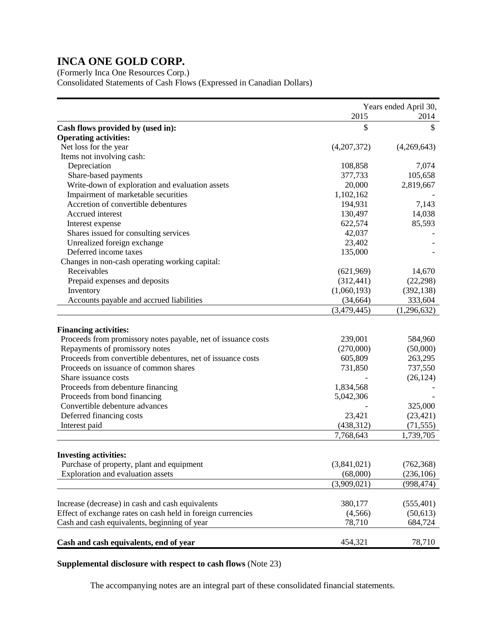(Formerly Inca One Resources Corp.) Consolidated Statements of Cash Flows (Expressed in Canadian Dollars)

|                                                               | Years ended April 30, |             |
|---------------------------------------------------------------|-----------------------|-------------|
|                                                               | 2015                  | 2014        |
| Cash flows provided by (used in):                             | \$                    | \$          |
| <b>Operating activities:</b>                                  |                       |             |
| Net loss for the year                                         | (4,207,372)           | (4,269,643) |
| Items not involving cash:                                     |                       |             |
| Depreciation                                                  | 108,858               | 7,074       |
| Share-based payments                                          | 377,733               | 105,658     |
| Write-down of exploration and evaluation assets               | 20,000                | 2,819,667   |
| Impairment of marketable securities                           | 1,102,162             |             |
| Accretion of convertible debentures                           | 194,931               | 7,143       |
| Accrued interest                                              | 130,497               | 14,038      |
| Interest expense                                              | 622,574               | 85,593      |
| Shares issued for consulting services                         | 42,037                |             |
| Unrealized foreign exchange                                   | 23,402                |             |
| Deferred income taxes                                         | 135,000               |             |
| Changes in non-cash operating working capital:                |                       |             |
| Receivables                                                   | (621,969)             | 14,670      |
| Prepaid expenses and deposits                                 | (312, 441)            | (22, 298)   |
| Inventory                                                     | (1,060,193)           | (392, 138)  |
| Accounts payable and accrued liabilities                      | (34, 664)             | 333,604     |
|                                                               | (3,479,445)           | (1,296,632) |
|                                                               |                       |             |
| <b>Financing activities:</b>                                  |                       |             |
| Proceeds from promissory notes payable, net of issuance costs | 239,001               | 584,960     |
| Repayments of promissory notes                                | (270,000)             | (50,000)    |
| Proceeds from convertible debentures, net of issuance costs   | 605,809               | 263,295     |
| Proceeds on issuance of common shares                         | 731,850               | 737,550     |
| Share issuance costs                                          |                       | (26, 124)   |
| Proceeds from debenture financing                             | 1,834,568             |             |
| Proceeds from bond financing                                  | 5,042,306             |             |
| Convertible debenture advances                                |                       | 325,000     |
| Deferred financing costs                                      | 23,421                | (23, 421)   |
| Interest paid                                                 | (438, 312)            | (71, 555)   |
|                                                               | 7,768,643             | 1,739,705   |
|                                                               |                       |             |
| <b>Investing activities:</b>                                  |                       |             |
| Purchase of property, plant and equipment                     | (3,841,021)           | (762, 368)  |
| Exploration and evaluation assets                             | (68,000)              | (236, 106)  |
|                                                               | (3,909,021)           | (998, 474)  |
| Increase (decrease) in cash and cash equivalents              | 380,177               | (555, 401)  |
| Effect of exchange rates on cash held in foreign currencies   | (4, 566)              | (50,613)    |
| Cash and cash equivalents, beginning of year                  | 78,710                | 684,724     |
|                                                               |                       |             |
| Cash and cash equivalents, end of year                        | 454,321               | 78,710      |

# **Supplemental disclosure with respect to cash flows** (Note 23)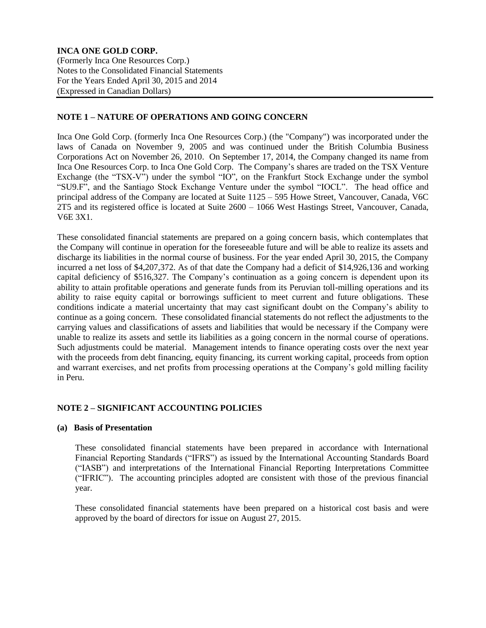# **NOTE 1 – NATURE OF OPERATIONS AND GOING CONCERN**

Inca One Gold Corp. (formerly Inca One Resources Corp.) (the "Company") was incorporated under the laws of Canada on November 9, 2005 and was continued under the British Columbia Business Corporations Act on November 26, 2010. On September 17, 2014, the Company changed its name from Inca One Resources Corp. to Inca One Gold Corp. The Company's shares are traded on the TSX Venture Exchange (the "TSX-V") under the symbol "IO", on the Frankfurt Stock Exchange under the symbol "SU9.F", and the Santiago Stock Exchange Venture under the symbol "IOCL". The head office and principal address of the Company are located at Suite 1125 – 595 Howe Street, Vancouver, Canada, V6C 2T5 and its registered office is located at Suite 2600 – 1066 West Hastings Street, Vancouver, Canada, V6E 3X1.

These consolidated financial statements are prepared on a going concern basis, which contemplates that the Company will continue in operation for the foreseeable future and will be able to realize its assets and discharge its liabilities in the normal course of business. For the year ended April 30, 2015, the Company incurred a net loss of \$4,207,372. As of that date the Company had a deficit of \$14,926,136 and working capital deficiency of \$516,327. The Company's continuation as a going concern is dependent upon its ability to attain profitable operations and generate funds from its Peruvian toll-milling operations and its ability to raise equity capital or borrowings sufficient to meet current and future obligations. These conditions indicate a material uncertainty that may cast significant doubt on the Company's ability to continue as a going concern. These consolidated financial statements do not reflect the adjustments to the carrying values and classifications of assets and liabilities that would be necessary if the Company were unable to realize its assets and settle its liabilities as a going concern in the normal course of operations. Such adjustments could be material. Management intends to finance operating costs over the next year with the proceeds from debt financing, equity financing, its current working capital, proceeds from option and warrant exercises, and net profits from processing operations at the Company's gold milling facility in Peru.

# **NOTE 2 – SIGNIFICANT ACCOUNTING POLICIES**

### **(a) Basis of Presentation**

These consolidated financial statements have been prepared in accordance with International Financial Reporting Standards ("IFRS") as issued by the International Accounting Standards Board ("IASB") and interpretations of the International Financial Reporting Interpretations Committee ("IFRIC"). The accounting principles adopted are consistent with those of the previous financial year.

These consolidated financial statements have been prepared on a historical cost basis and were approved by the board of directors for issue on August 27, 2015.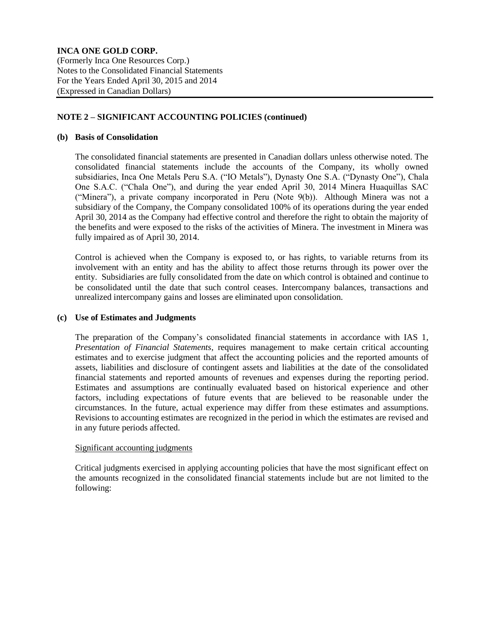# **NOTE 2 – SIGNIFICANT ACCOUNTING POLICIES (continued)**

### **(b) Basis of Consolidation**

The consolidated financial statements are presented in Canadian dollars unless otherwise noted. The consolidated financial statements include the accounts of the Company, its wholly owned subsidiaries, Inca One Metals Peru S.A. ("IO Metals"), Dynasty One S.A. ("Dynasty One"), Chala One S.A.C. ("Chala One"), and during the year ended April 30, 2014 Minera Huaquillas SAC ("Minera"), a private company incorporated in Peru (Note 9(b)). Although Minera was not a subsidiary of the Company, the Company consolidated 100% of its operations during the year ended April 30, 2014 as the Company had effective control and therefore the right to obtain the majority of the benefits and were exposed to the risks of the activities of Minera. The investment in Minera was fully impaired as of April 30, 2014.

Control is achieved when the Company is exposed to, or has rights, to variable returns from its involvement with an entity and has the ability to affect those returns through its power over the entity. Subsidiaries are fully consolidated from the date on which control is obtained and continue to be consolidated until the date that such control ceases. Intercompany balances, transactions and unrealized intercompany gains and losses are eliminated upon consolidation.

### **(c) Use of Estimates and Judgments**

The preparation of the Company's consolidated financial statements in accordance with IAS 1, *Presentation of Financial Statements*, requires management to make certain critical accounting estimates and to exercise judgment that affect the accounting policies and the reported amounts of assets, liabilities and disclosure of contingent assets and liabilities at the date of the consolidated financial statements and reported amounts of revenues and expenses during the reporting period. Estimates and assumptions are continually evaluated based on historical experience and other factors, including expectations of future events that are believed to be reasonable under the circumstances. In the future, actual experience may differ from these estimates and assumptions. Revisions to accounting estimates are recognized in the period in which the estimates are revised and in any future periods affected.

### Significant accounting judgments

Critical judgments exercised in applying accounting policies that have the most significant effect on the amounts recognized in the consolidated financial statements include but are not limited to the following: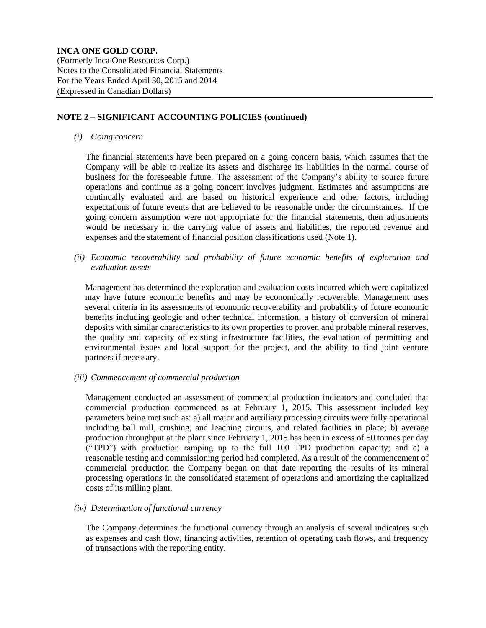# **NOTE 2 – SIGNIFICANT ACCOUNTING POLICIES (continued)**

*(i) Going concern*

The financial statements have been prepared on a going concern basis, which assumes that the Company will be able to realize its assets and discharge its liabilities in the normal course of business for the foreseeable future. The assessment of the Company's ability to source future operations and continue as a going concern involves judgment. Estimates and assumptions are continually evaluated and are based on historical experience and other factors, including expectations of future events that are believed to be reasonable under the circumstances. If the going concern assumption were not appropriate for the financial statements, then adjustments would be necessary in the carrying value of assets and liabilities, the reported revenue and expenses and the statement of financial position classifications used (Note 1).

*(ii) Economic recoverability and probability of future economic benefits of exploration and evaluation assets*

Management has determined the exploration and evaluation costs incurred which were capitalized may have future economic benefits and may be economically recoverable. Management uses several criteria in its assessments of economic recoverability and probability of future economic benefits including geologic and other technical information, a history of conversion of mineral deposits with similar characteristics to its own properties to proven and probable mineral reserves, the quality and capacity of existing infrastructure facilities, the evaluation of permitting and environmental issues and local support for the project, and the ability to find joint venture partners if necessary.

*(iii) Commencement of commercial production*

Management conducted an assessment of commercial production indicators and concluded that commercial production commenced as at February 1, 2015. This assessment included key parameters being met such as: a) all major and auxiliary processing circuits were fully operational including ball mill, crushing, and leaching circuits, and related facilities in place; b) average production throughput at the plant since February 1, 2015 has been in excess of 50 tonnes per day ("TPD") with production ramping up to the full 100 TPD production capacity; and c) a reasonable testing and commissioning period had completed. As a result of the commencement of commercial production the Company began on that date reporting the results of its mineral processing operations in the consolidated statement of operations and amortizing the capitalized costs of its milling plant.

### *(iv) Determination of functional currency*

The Company determines the functional currency through an analysis of several indicators such as expenses and cash flow, financing activities, retention of operating cash flows, and frequency of transactions with the reporting entity.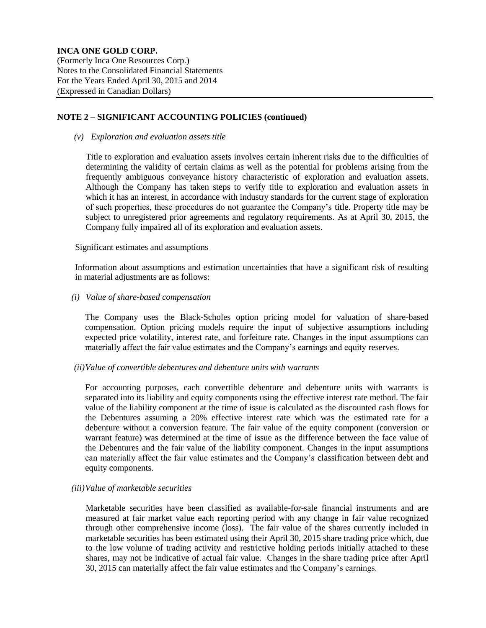### **NOTE 2 – SIGNIFICANT ACCOUNTING POLICIES (continued)**

### *(v) Exploration and evaluation assets title*

Title to exploration and evaluation assets involves certain inherent risks due to the difficulties of determining the validity of certain claims as well as the potential for problems arising from the frequently ambiguous conveyance history characteristic of exploration and evaluation assets. Although the Company has taken steps to verify title to exploration and evaluation assets in which it has an interest, in accordance with industry standards for the current stage of exploration of such properties, these procedures do not guarantee the Company's title. Property title may be subject to unregistered prior agreements and regulatory requirements. As at April 30, 2015, the Company fully impaired all of its exploration and evaluation assets.

# Significant estimates and assumptions

Information about assumptions and estimation uncertainties that have a significant risk of resulting in material adjustments are as follows:

# *(i) Value of share-based compensation*

The Company uses the Black-Scholes option pricing model for valuation of share-based compensation. Option pricing models require the input of subjective assumptions including expected price volatility, interest rate, and forfeiture rate. Changes in the input assumptions can materially affect the fair value estimates and the Company's earnings and equity reserves.

### *(ii)Value of convertible debentures and debenture units with warrants*

For accounting purposes, each convertible debenture and debenture units with warrants is separated into its liability and equity components using the effective interest rate method. The fair value of the liability component at the time of issue is calculated as the discounted cash flows for the Debentures assuming a 20% effective interest rate which was the estimated rate for a debenture without a conversion feature. The fair value of the equity component (conversion or warrant feature) was determined at the time of issue as the difference between the face value of the Debentures and the fair value of the liability component. Changes in the input assumptions can materially affect the fair value estimates and the Company's classification between debt and equity components.

### *(iii)Value of marketable securities*

Marketable securities have been classified as available-for-sale financial instruments and are measured at fair market value each reporting period with any change in fair value recognized through other comprehensive income (loss). The fair value of the shares currently included in marketable securities has been estimated using their April 30, 2015 share trading price which, due to the low volume of trading activity and restrictive holding periods initially attached to these shares, may not be indicative of actual fair value. Changes in the share trading price after April 30, 2015 can materially affect the fair value estimates and the Company's earnings.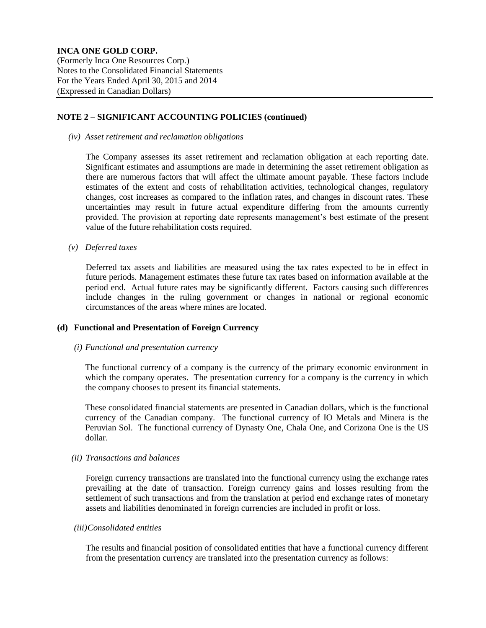### **NOTE 2 – SIGNIFICANT ACCOUNTING POLICIES (continued)**

### *(iv) Asset retirement and reclamation obligations*

The Company assesses its asset retirement and reclamation obligation at each reporting date. Significant estimates and assumptions are made in determining the asset retirement obligation as there are numerous factors that will affect the ultimate amount payable. These factors include estimates of the extent and costs of rehabilitation activities, technological changes, regulatory changes, cost increases as compared to the inflation rates, and changes in discount rates. These uncertainties may result in future actual expenditure differing from the amounts currently provided. The provision at reporting date represents management's best estimate of the present value of the future rehabilitation costs required.

### *(v) Deferred taxes*

Deferred tax assets and liabilities are measured using the tax rates expected to be in effect in future periods. Management estimates these future tax rates based on information available at the period end. Actual future rates may be significantly different. Factors causing such differences include changes in the ruling government or changes in national or regional economic circumstances of the areas where mines are located.

### **(d) Functional and Presentation of Foreign Currency**

### *(i) Functional and presentation currency*

The functional currency of a company is the currency of the primary economic environment in which the company operates. The presentation currency for a company is the currency in which the company chooses to present its financial statements.

These consolidated financial statements are presented in Canadian dollars, which is the functional currency of the Canadian company. The functional currency of IO Metals and Minera is the Peruvian Sol. The functional currency of Dynasty One, Chala One, and Corizona One is the US dollar.

### *(ii) Transactions and balances*

Foreign currency transactions are translated into the functional currency using the exchange rates prevailing at the date of transaction. Foreign currency gains and losses resulting from the settlement of such transactions and from the translation at period end exchange rates of monetary assets and liabilities denominated in foreign currencies are included in profit or loss.

# *(iii)Consolidated entities*

The results and financial position of consolidated entities that have a functional currency different from the presentation currency are translated into the presentation currency as follows: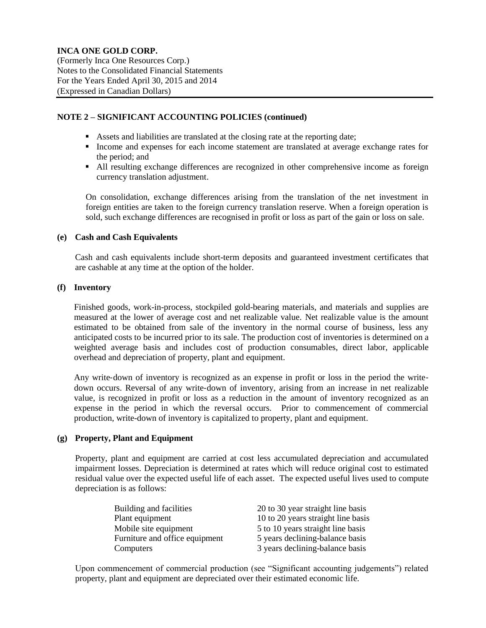### **NOTE 2 – SIGNIFICANT ACCOUNTING POLICIES (continued)**

- Assets and liabilities are translated at the closing rate at the reporting date;
- Income and expenses for each income statement are translated at average exchange rates for the period; and
- All resulting exchange differences are recognized in other comprehensive income as foreign currency translation adjustment.

On consolidation, exchange differences arising from the translation of the net investment in foreign entities are taken to the foreign currency translation reserve. When a foreign operation is sold, such exchange differences are recognised in profit or loss as part of the gain or loss on sale.

### **(e) Cash and Cash Equivalents**

Cash and cash equivalents include short-term deposits and guaranteed investment certificates that are cashable at any time at the option of the holder.

# **(f) Inventory**

Finished goods, work-in-process, stockpiled gold-bearing materials, and materials and supplies are measured at the lower of average cost and net realizable value. Net realizable value is the amount estimated to be obtained from sale of the inventory in the normal course of business, less any anticipated costs to be incurred prior to its sale. The production cost of inventories is determined on a weighted average basis and includes cost of production consumables, direct labor, applicable overhead and depreciation of property, plant and equipment.

Any write-down of inventory is recognized as an expense in profit or loss in the period the writedown occurs. Reversal of any write‐down of inventory, arising from an increase in net realizable value, is recognized in profit or loss as a reduction in the amount of inventory recognized as an expense in the period in which the reversal occurs. Prior to commencement of commercial production, write-down of inventory is capitalized to property, plant and equipment.

### **(g) Property, Plant and Equipment**

Property, plant and equipment are carried at cost less accumulated depreciation and accumulated impairment losses. Depreciation is determined at rates which will reduce original cost to estimated residual value over the expected useful life of each asset. The expected useful lives used to compute depreciation is as follows:

| Building and facilities        | 20 to 30 year straight line basis  |
|--------------------------------|------------------------------------|
| Plant equipment                | 10 to 20 years straight line basis |
| Mobile site equipment          | 5 to 10 years straight line basis  |
| Furniture and office equipment | 5 years declining-balance basis    |
| Computers                      | 3 years declining-balance basis    |

Upon commencement of commercial production (see "Significant accounting judgements") related property, plant and equipment are depreciated over their estimated economic life.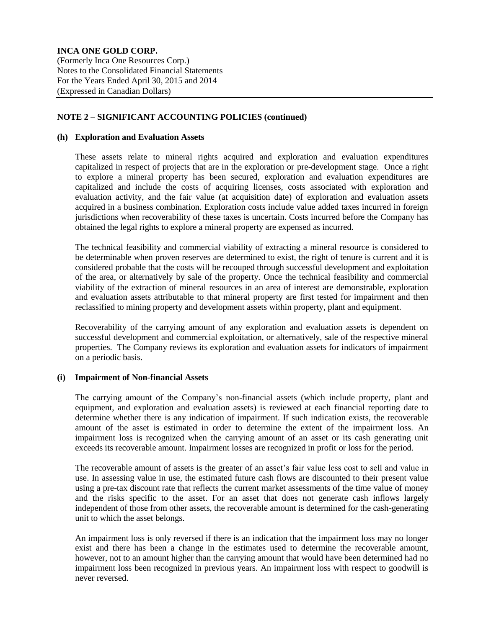(Formerly Inca One Resources Corp.) Notes to the Consolidated Financial Statements For the Years Ended April 30, 2015 and 2014 (Expressed in Canadian Dollars)

# **NOTE 2 – SIGNIFICANT ACCOUNTING POLICIES (continued)**

### **(h) Exploration and Evaluation Assets**

These assets relate to mineral rights acquired and exploration and evaluation expenditures capitalized in respect of projects that are in the exploration or pre-development stage. Once a right to explore a mineral property has been secured, exploration and evaluation expenditures are capitalized and include the costs of acquiring licenses, costs associated with exploration and evaluation activity, and the fair value (at acquisition date) of exploration and evaluation assets acquired in a business combination. Exploration costs include value added taxes incurred in foreign jurisdictions when recoverability of these taxes is uncertain. Costs incurred before the Company has obtained the legal rights to explore a mineral property are expensed as incurred.

The technical feasibility and commercial viability of extracting a mineral resource is considered to be determinable when proven reserves are determined to exist, the right of tenure is current and it is considered probable that the costs will be recouped through successful development and exploitation of the area, or alternatively by sale of the property. Once the technical feasibility and commercial viability of the extraction of mineral resources in an area of interest are demonstrable, exploration and evaluation assets attributable to that mineral property are first tested for impairment and then reclassified to mining property and development assets within property, plant and equipment.

Recoverability of the carrying amount of any exploration and evaluation assets is dependent on successful development and commercial exploitation, or alternatively, sale of the respective mineral properties. The Company reviews its exploration and evaluation assets for indicators of impairment on a periodic basis.

# **(i) Impairment of Non-financial Assets**

The carrying amount of the Company's non-financial assets (which include property, plant and equipment, and exploration and evaluation assets) is reviewed at each financial reporting date to determine whether there is any indication of impairment. If such indication exists, the recoverable amount of the asset is estimated in order to determine the extent of the impairment loss. An impairment loss is recognized when the carrying amount of an asset or its cash generating unit exceeds its recoverable amount. Impairment losses are recognized in profit or loss for the period.

The recoverable amount of assets is the greater of an asset's fair value less cost to sell and value in use. In assessing value in use, the estimated future cash flows are discounted to their present value using a pre-tax discount rate that reflects the current market assessments of the time value of money and the risks specific to the asset. For an asset that does not generate cash inflows largely independent of those from other assets, the recoverable amount is determined for the cash-generating unit to which the asset belongs.

An impairment loss is only reversed if there is an indication that the impairment loss may no longer exist and there has been a change in the estimates used to determine the recoverable amount, however, not to an amount higher than the carrying amount that would have been determined had no impairment loss been recognized in previous years. An impairment loss with respect to goodwill is never reversed.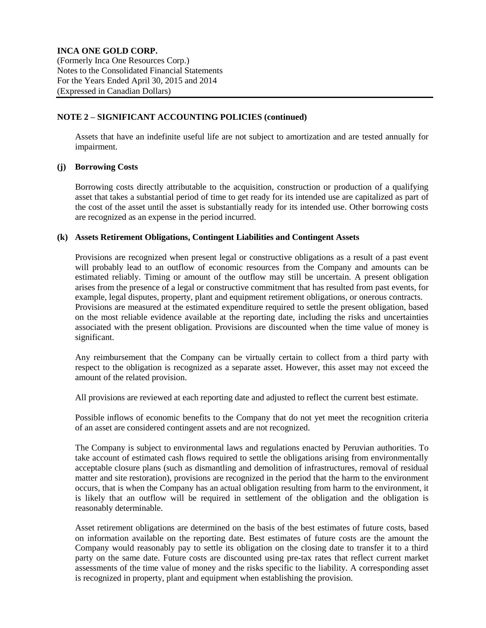# **NOTE 2 – SIGNIFICANT ACCOUNTING POLICIES (continued)**

Assets that have an indefinite useful life are not subject to amortization and are tested annually for impairment.

# **(j) Borrowing Costs**

Borrowing costs directly attributable to the acquisition, construction or production of a qualifying asset that takes a substantial period of time to get ready for its intended use are capitalized as part of the cost of the asset until the asset is substantially ready for its intended use. Other borrowing costs are recognized as an expense in the period incurred.

### **(k) Assets Retirement Obligations, Contingent Liabilities and Contingent Assets**

Provisions are recognized when present legal or constructive obligations as a result of a past event will probably lead to an outflow of economic resources from the Company and amounts can be estimated reliably. Timing or amount of the outflow may still be uncertain. A present obligation arises from the presence of a legal or constructive commitment that has resulted from past events, for example, legal disputes, property, plant and equipment retirement obligations, or onerous contracts. Provisions are measured at the estimated expenditure required to settle the present obligation, based on the most reliable evidence available at the reporting date, including the risks and uncertainties associated with the present obligation. Provisions are discounted when the time value of money is significant.

Any reimbursement that the Company can be virtually certain to collect from a third party with respect to the obligation is recognized as a separate asset. However, this asset may not exceed the amount of the related provision.

All provisions are reviewed at each reporting date and adjusted to reflect the current best estimate.

Possible inflows of economic benefits to the Company that do not yet meet the recognition criteria of an asset are considered contingent assets and are not recognized.

The Company is subject to environmental laws and regulations enacted by Peruvian authorities. To take account of estimated cash flows required to settle the obligations arising from environmentally acceptable closure plans (such as dismantling and demolition of infrastructures, removal of residual matter and site restoration), provisions are recognized in the period that the harm to the environment occurs, that is when the Company has an actual obligation resulting from harm to the environment, it is likely that an outflow will be required in settlement of the obligation and the obligation is reasonably determinable.

Asset retirement obligations are determined on the basis of the best estimates of future costs, based on information available on the reporting date. Best estimates of future costs are the amount the Company would reasonably pay to settle its obligation on the closing date to transfer it to a third party on the same date. Future costs are discounted using pre-tax rates that reflect current market assessments of the time value of money and the risks specific to the liability. A corresponding asset is recognized in property, plant and equipment when establishing the provision.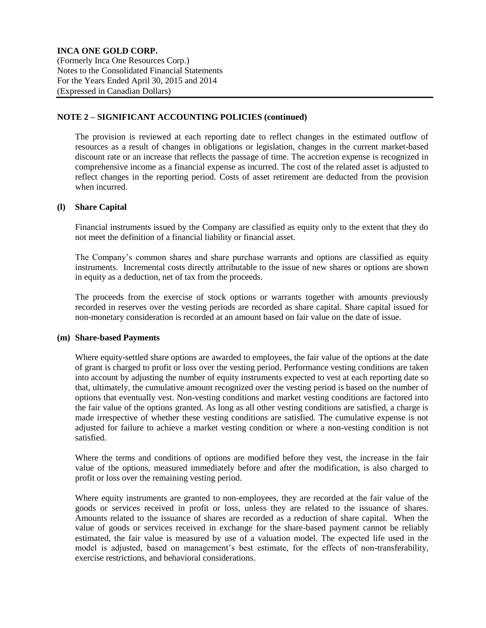### **NOTE 2 – SIGNIFICANT ACCOUNTING POLICIES (continued)**

The provision is reviewed at each reporting date to reflect changes in the estimated outflow of resources as a result of changes in obligations or legislation, changes in the current market-based discount rate or an increase that reflects the passage of time. The accretion expense is recognized in comprehensive income as a financial expense as incurred. The cost of the related asset is adjusted to reflect changes in the reporting period. Costs of asset retirement are deducted from the provision when incurred.

# **(l) Share Capital**

Financial instruments issued by the Company are classified as equity only to the extent that they do not meet the definition of a financial liability or financial asset.

The Company's common shares and share purchase warrants and options are classified as equity instruments. Incremental costs directly attributable to the issue of new shares or options are shown in equity as a deduction, net of tax from the proceeds.

The proceeds from the exercise of stock options or warrants together with amounts previously recorded in reserves over the vesting periods are recorded as share capital. Share capital issued for non-monetary consideration is recorded at an amount based on fair value on the date of issue.

### **(m) Share-based Payments**

Where equity-settled share options are awarded to employees, the fair value of the options at the date of grant is charged to profit or loss over the vesting period. Performance vesting conditions are taken into account by adjusting the number of equity instruments expected to vest at each reporting date so that, ultimately, the cumulative amount recognized over the vesting period is based on the number of options that eventually vest. Non-vesting conditions and market vesting conditions are factored into the fair value of the options granted. As long as all other vesting conditions are satisfied, a charge is made irrespective of whether these vesting conditions are satisfied. The cumulative expense is not adjusted for failure to achieve a market vesting condition or where a non-vesting condition is not satisfied.

Where the terms and conditions of options are modified before they vest, the increase in the fair value of the options, measured immediately before and after the modification, is also charged to profit or loss over the remaining vesting period.

Where equity instruments are granted to non-employees, they are recorded at the fair value of the goods or services received in profit or loss, unless they are related to the issuance of shares. Amounts related to the issuance of shares are recorded as a reduction of share capital. When the value of goods or services received in exchange for the share-based payment cannot be reliably estimated, the fair value is measured by use of a valuation model. The expected life used in the model is adjusted, based on management's best estimate, for the effects of non-transferability, exercise restrictions, and behavioral considerations.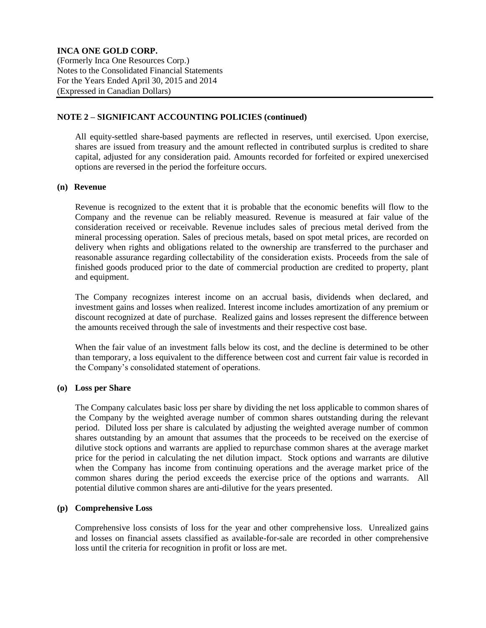### **NOTE 2 – SIGNIFICANT ACCOUNTING POLICIES (continued)**

All equity-settled share-based payments are reflected in reserves, until exercised. Upon exercise, shares are issued from treasury and the amount reflected in contributed surplus is credited to share capital, adjusted for any consideration paid. Amounts recorded for forfeited or expired unexercised options are reversed in the period the forfeiture occurs.

### **(n) Revenue**

Revenue is recognized to the extent that it is probable that the economic benefits will flow to the Company and the revenue can be reliably measured. Revenue is measured at fair value of the consideration received or receivable. Revenue includes sales of precious metal derived from the mineral processing operation. Sales of precious metals, based on spot metal prices, are recorded on delivery when rights and obligations related to the ownership are transferred to the purchaser and reasonable assurance regarding collectability of the consideration exists. Proceeds from the sale of finished goods produced prior to the date of commercial production are credited to property, plant and equipment.

The Company recognizes interest income on an accrual basis, dividends when declared, and investment gains and losses when realized. Interest income includes amortization of any premium or discount recognized at date of purchase. Realized gains and losses represent the difference between the amounts received through the sale of investments and their respective cost base.

When the fair value of an investment falls below its cost, and the decline is determined to be other than temporary, a loss equivalent to the difference between cost and current fair value is recorded in the Company's consolidated statement of operations.

# **(o) Loss per Share**

The Company calculates basic loss per share by dividing the net loss applicable to common shares of the Company by the weighted average number of common shares outstanding during the relevant period. Diluted loss per share is calculated by adjusting the weighted average number of common shares outstanding by an amount that assumes that the proceeds to be received on the exercise of dilutive stock options and warrants are applied to repurchase common shares at the average market price for the period in calculating the net dilution impact. Stock options and warrants are dilutive when the Company has income from continuing operations and the average market price of the common shares during the period exceeds the exercise price of the options and warrants. All potential dilutive common shares are anti-dilutive for the years presented.

### **(p) Comprehensive Loss**

Comprehensive loss consists of loss for the year and other comprehensive loss. Unrealized gains and losses on financial assets classified as available-for-sale are recorded in other comprehensive loss until the criteria for recognition in profit or loss are met.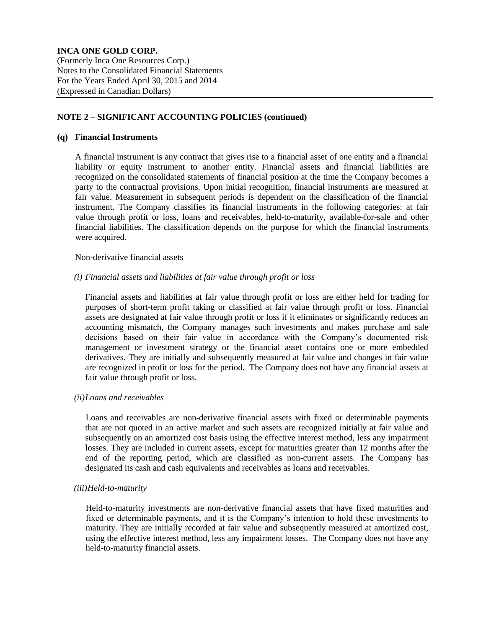# **NOTE 2 – SIGNIFICANT ACCOUNTING POLICIES (continued)**

### **(q) Financial Instruments**

A financial instrument is any contract that gives rise to a financial asset of one entity and a financial liability or equity instrument to another entity. Financial assets and financial liabilities are recognized on the consolidated statements of financial position at the time the Company becomes a party to the contractual provisions. Upon initial recognition, financial instruments are measured at fair value. Measurement in subsequent periods is dependent on the classification of the financial instrument. The Company classifies its financial instruments in the following categories: at fair value through profit or loss, loans and receivables, held-to-maturity, available-for-sale and other financial liabilities. The classification depends on the purpose for which the financial instruments were acquired.

### Non-derivative financial assets

### *(i) Financial assets and liabilities at fair value through profit or loss*

Financial assets and liabilities at fair value through profit or loss are either held for trading for purposes of short-term profit taking or classified at fair value through profit or loss. Financial assets are designated at fair value through profit or loss if it eliminates or significantly reduces an accounting mismatch, the Company manages such investments and makes purchase and sale decisions based on their fair value in accordance with the Company's documented risk management or investment strategy or the financial asset contains one or more embedded derivatives. They are initially and subsequently measured at fair value and changes in fair value are recognized in profit or loss for the period. The Company does not have any financial assets at fair value through profit or loss.

### *(ii)Loans and receivables*

Loans and receivables are non-derivative financial assets with fixed or determinable payments that are not quoted in an active market and such assets are recognized initially at fair value and subsequently on an amortized cost basis using the effective interest method, less any impairment losses. They are included in current assets, except for maturities greater than 12 months after the end of the reporting period, which are classified as non-current assets. The Company has designated its cash and cash equivalents and receivables as loans and receivables.

# *(iii)Held-to-maturity*

Held-to-maturity investments are non-derivative financial assets that have fixed maturities and fixed or determinable payments, and it is the Company's intention to hold these investments to maturity. They are initially recorded at fair value and subsequently measured at amortized cost, using the effective interest method, less any impairment losses. The Company does not have any held-to-maturity financial assets.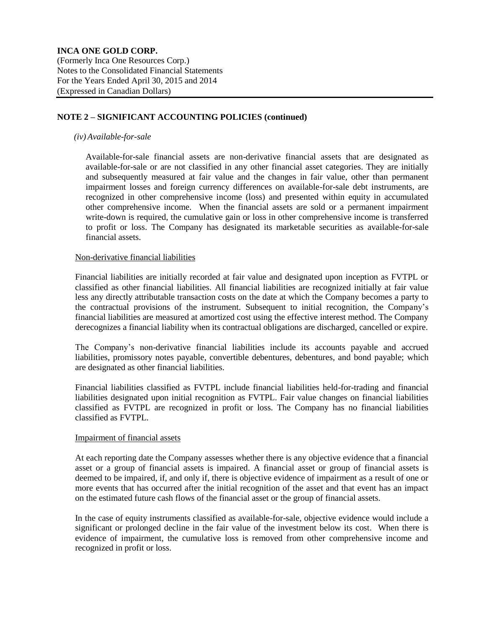# **NOTE 2 – SIGNIFICANT ACCOUNTING POLICIES (continued)**

### *(iv) Available-for-sale*

Available-for-sale financial assets are non-derivative financial assets that are designated as available-for-sale or are not classified in any other financial asset categories. They are initially and subsequently measured at fair value and the changes in fair value, other than permanent impairment losses and foreign currency differences on available-for-sale debt instruments, are recognized in other comprehensive income (loss) and presented within equity in accumulated other comprehensive income. When the financial assets are sold or a permanent impairment write-down is required, the cumulative gain or loss in other comprehensive income is transferred to profit or loss. The Company has designated its marketable securities as available-for-sale financial assets.

#### Non-derivative financial liabilities

Financial liabilities are initially recorded at fair value and designated upon inception as FVTPL or classified as other financial liabilities. All financial liabilities are recognized initially at fair value less any directly attributable transaction costs on the date at which the Company becomes a party to the contractual provisions of the instrument. Subsequent to initial recognition, the Company's financial liabilities are measured at amortized cost using the effective interest method. The Company derecognizes a financial liability when its contractual obligations are discharged, cancelled or expire.

The Company's non-derivative financial liabilities include its accounts payable and accrued liabilities, promissory notes payable, convertible debentures, debentures, and bond payable; which are designated as other financial liabilities.

Financial liabilities classified as FVTPL include financial liabilities held-for-trading and financial liabilities designated upon initial recognition as FVTPL. Fair value changes on financial liabilities classified as FVTPL are recognized in profit or loss. The Company has no financial liabilities classified as FVTPL.

#### Impairment of financial assets

At each reporting date the Company assesses whether there is any objective evidence that a financial asset or a group of financial assets is impaired. A financial asset or group of financial assets is deemed to be impaired, if, and only if, there is objective evidence of impairment as a result of one or more events that has occurred after the initial recognition of the asset and that event has an impact on the estimated future cash flows of the financial asset or the group of financial assets.

In the case of equity instruments classified as available-for-sale, objective evidence would include a significant or prolonged decline in the fair value of the investment below its cost. When there is evidence of impairment, the cumulative loss is removed from other comprehensive income and recognized in profit or loss.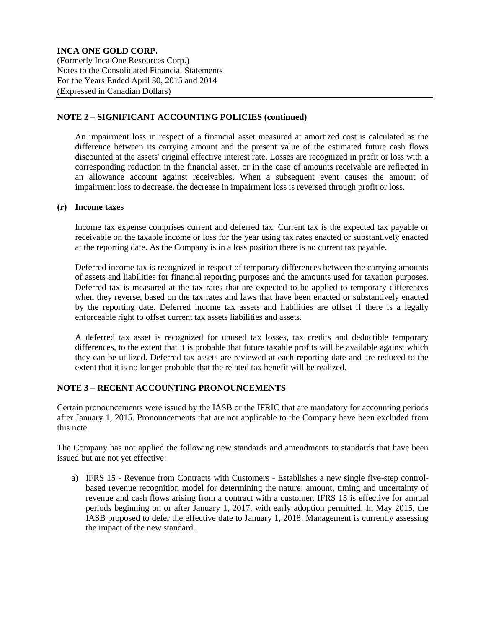# **NOTE 2 – SIGNIFICANT ACCOUNTING POLICIES (continued)**

An impairment loss in respect of a financial asset measured at amortized cost is calculated as the difference between its carrying amount and the present value of the estimated future cash flows discounted at the assets' original effective interest rate. Losses are recognized in profit or loss with a corresponding reduction in the financial asset, or in the case of amounts receivable are reflected in an allowance account against receivables. When a subsequent event causes the amount of impairment loss to decrease, the decrease in impairment loss is reversed through profit or loss.

### **(r) Income taxes**

Income tax expense comprises current and deferred tax. Current tax is the expected tax payable or receivable on the taxable income or loss for the year using tax rates enacted or substantively enacted at the reporting date. As the Company is in a loss position there is no current tax payable.

Deferred income tax is recognized in respect of temporary differences between the carrying amounts of assets and liabilities for financial reporting purposes and the amounts used for taxation purposes. Deferred tax is measured at the tax rates that are expected to be applied to temporary differences when they reverse, based on the tax rates and laws that have been enacted or substantively enacted by the reporting date. Deferred income tax assets and liabilities are offset if there is a legally enforceable right to offset current tax assets liabilities and assets.

A deferred tax asset is recognized for unused tax losses, tax credits and deductible temporary differences, to the extent that it is probable that future taxable profits will be available against which they can be utilized. Deferred tax assets are reviewed at each reporting date and are reduced to the extent that it is no longer probable that the related tax benefit will be realized.

# **NOTE 3 – RECENT ACCOUNTING PRONOUNCEMENTS**

Certain pronouncements were issued by the IASB or the IFRIC that are mandatory for accounting periods after January 1, 2015. Pronouncements that are not applicable to the Company have been excluded from this note.

The Company has not applied the following new standards and amendments to standards that have been issued but are not yet effective:

a) IFRS 15 - Revenue from Contracts with Customers - Establishes a new single five-step controlbased revenue recognition model for determining the nature, amount, timing and uncertainty of revenue and cash flows arising from a contract with a customer. IFRS 15 is effective for annual periods beginning on or after January 1, 2017, with early adoption permitted. In May 2015, the IASB proposed to defer the effective date to January 1, 2018. Management is currently assessing the impact of the new standard.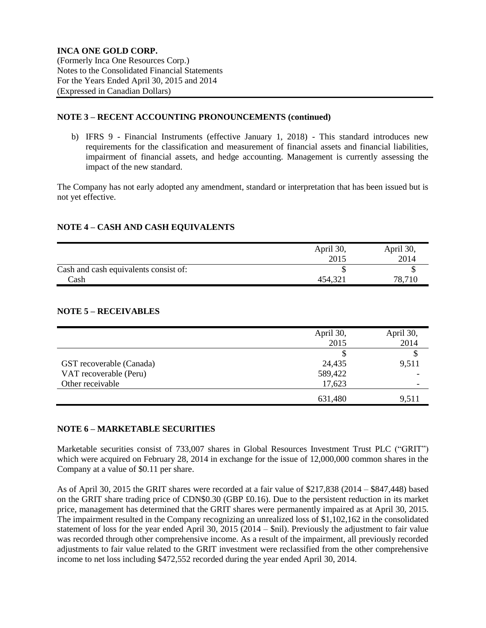### **NOTE 3 – RECENT ACCOUNTING PRONOUNCEMENTS (continued)**

b) IFRS 9 - Financial Instruments (effective January 1, 2018) - This standard introduces new requirements for the classification and measurement of financial assets and financial liabilities, impairment of financial assets, and hedge accounting. Management is currently assessing the impact of the new standard.

The Company has not early adopted any amendment, standard or interpretation that has been issued but is not yet effective.

# **NOTE 4 – CASH AND CASH EQUIVALENTS**

|                                       | April 30, | April 30, |
|---------------------------------------|-----------|-----------|
|                                       | 2015      | 2014      |
| Cash and cash equivalents consist of: |           |           |
| Cash                                  | 454,321   | 78,710    |

# **NOTE 5 – RECEIVABLES**

|                          | April 30, | April 30, |
|--------------------------|-----------|-----------|
|                          | 2015      | 2014      |
|                          |           |           |
| GST recoverable (Canada) | 24,435    | 9,511     |
| VAT recoverable (Peru)   | 589,422   |           |
| Other receivable         | 17,623    | -         |
|                          | 631,480   | 9,511     |

# **NOTE 6 – MARKETABLE SECURITIES**

Marketable securities consist of 733,007 shares in Global Resources Investment Trust PLC ("GRIT") which were acquired on February 28, 2014 in exchange for the issue of 12,000,000 common shares in the Company at a value of \$0.11 per share.

As of April 30, 2015 the GRIT shares were recorded at a fair value of \$217,838 (2014 – \$847,448) based on the GRIT share trading price of CDN\$0.30 (GBP £0.16). Due to the persistent reduction in its market price, management has determined that the GRIT shares were permanently impaired as at April 30, 2015. The impairment resulted in the Company recognizing an unrealized loss of \$1,102,162 in the consolidated statement of loss for the year ended April 30, 2015 (2014 – \$nil). Previously the adjustment to fair value was recorded through other comprehensive income. As a result of the impairment, all previously recorded adjustments to fair value related to the GRIT investment were reclassified from the other comprehensive income to net loss including \$472,552 recorded during the year ended April 30, 2014.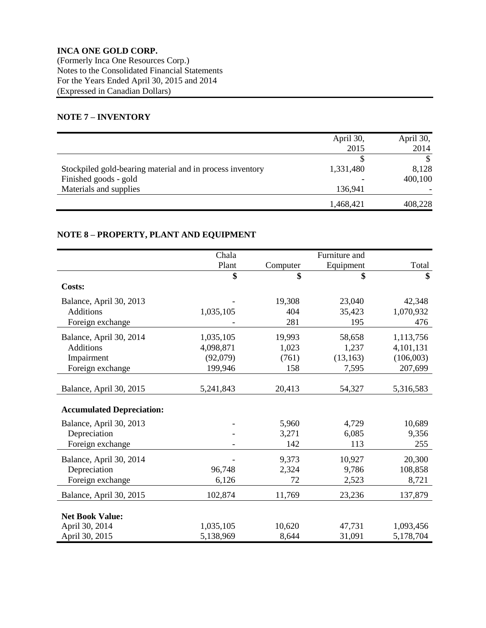# **INCA ONE GOLD CORP.** (Formerly Inca One Resources Corp.)

Notes to the Consolidated Financial Statements For the Years Ended April 30, 2015 and 2014 (Expressed in Canadian Dollars)

# **NOTE 7 – INVENTORY**

|                                                           | April 30, | April 30, |
|-----------------------------------------------------------|-----------|-----------|
|                                                           | 2015      | 2014      |
|                                                           |           |           |
| Stockpiled gold-bearing material and in process inventory | 1,331,480 | 8,128     |
| Finished goods - gold                                     |           | 400,100   |
| Materials and supplies                                    | 136,941   |           |
|                                                           | 1,468,421 | 408,228   |

# **NOTE 8 – PROPERTY, PLANT AND EQUIPMENT**

|                                  | Chala     |          | Furniture and |           |
|----------------------------------|-----------|----------|---------------|-----------|
|                                  | Plant     | Computer | Equipment     | Total     |
|                                  | \$        | \$       | \$            | \$        |
| Costs:                           |           |          |               |           |
| Balance, April 30, 2013          |           | 19,308   | 23,040        | 42,348    |
| <b>Additions</b>                 | 1,035,105 | 404      | 35,423        | 1,070,932 |
| Foreign exchange                 |           | 281      | 195           | 476       |
| Balance, April 30, 2014          | 1,035,105 | 19,993   | 58,658        | 1,113,756 |
| <b>Additions</b>                 | 4,098,871 | 1,023    | 1,237         | 4,101,131 |
| Impairment                       | (92,079)  | (761)    | (13, 163)     | (106,003) |
| Foreign exchange                 | 199,946   | 158      | 7,595         | 207,699   |
|                                  |           |          |               |           |
| Balance, April 30, 2015          | 5,241,843 | 20,413   | 54,327        | 5,316,583 |
| <b>Accumulated Depreciation:</b> |           |          |               |           |
| Balance, April 30, 2013          |           | 5,960    | 4,729         | 10,689    |
| Depreciation                     |           | 3,271    | 6,085         | 9,356     |
| Foreign exchange                 |           | 142      | 113           | 255       |
| Balance, April 30, 2014          |           | 9,373    | 10,927        | 20,300    |
| Depreciation                     | 96,748    | 2,324    | 9,786         | 108,858   |
| Foreign exchange                 | 6,126     | 72       | 2,523         | 8,721     |
| Balance, April 30, 2015          | 102,874   | 11,769   | 23,236        | 137,879   |
|                                  |           |          |               |           |
| <b>Net Book Value:</b>           |           |          |               |           |
| April 30, 2014                   | 1,035,105 | 10,620   | 47,731        | 1,093,456 |
| April 30, 2015                   | 5,138,969 | 8,644    | 31,091        | 5,178,704 |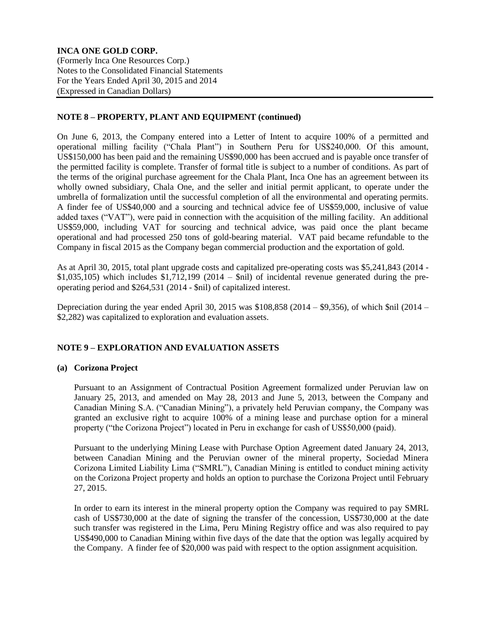# **NOTE 8 – PROPERTY, PLANT AND EQUIPMENT (continued)**

On June 6, 2013, the Company entered into a Letter of Intent to acquire 100% of a permitted and operational milling facility ("Chala Plant") in Southern Peru for US\$240,000. Of this amount, US\$150,000 has been paid and the remaining US\$90,000 has been accrued and is payable once transfer of the permitted facility is complete. Transfer of formal title is subject to a number of conditions. As part of the terms of the original purchase agreement for the Chala Plant, Inca One has an agreement between its wholly owned subsidiary, Chala One, and the seller and initial permit applicant, to operate under the umbrella of formalization until the successful completion of all the environmental and operating permits. A finder fee of US\$40,000 and a sourcing and technical advice fee of US\$59,000, inclusive of value added taxes ("VAT"), were paid in connection with the acquisition of the milling facility. An additional US\$59,000, including VAT for sourcing and technical advice, was paid once the plant became operational and had processed 250 tons of gold-bearing material. VAT paid became refundable to the Company in fiscal 2015 as the Company began commercial production and the exportation of gold.

As at April 30, 2015, total plant upgrade costs and capitalized pre-operating costs was \$5,241,843 (2014 -  $$1,035,105$ ) which includes  $$1,712,199$  (2014 –  $$nii$ ) of incidental revenue generated during the preoperating period and \$264,531 (2014 - \$nil) of capitalized interest.

Depreciation during the year ended April 30, 2015 was \$108,858 (2014 – \$9,356), of which \$nil (2014 – \$2,282) was capitalized to exploration and evaluation assets.

# **NOTE 9 – EXPLORATION AND EVALUATION ASSETS**

### **(a) Corizona Project**

Pursuant to an Assignment of Contractual Position Agreement formalized under Peruvian law on January 25, 2013, and amended on May 28, 2013 and June 5, 2013, between the Company and Canadian Mining S.A. ("Canadian Mining"), a privately held Peruvian company, the Company was granted an exclusive right to acquire 100% of a mining lease and purchase option for a mineral property ("the Corizona Project") located in Peru in exchange for cash of US\$50,000 (paid).

Pursuant to the underlying Mining Lease with Purchase Option Agreement dated January 24, 2013, between Canadian Mining and the Peruvian owner of the mineral property, Sociedad Minera Corizona Limited Liability Lima ("SMRL"), Canadian Mining is entitled to conduct mining activity on the Corizona Project property and holds an option to purchase the Corizona Project until February 27, 2015.

In order to earn its interest in the mineral property option the Company was required to pay SMRL cash of US\$730,000 at the date of signing the transfer of the concession, US\$730,000 at the date such transfer was registered in the Lima, Peru Mining Registry office and was also required to pay US\$490,000 to Canadian Mining within five days of the date that the option was legally acquired by the Company. A finder fee of \$20,000 was paid with respect to the option assignment acquisition.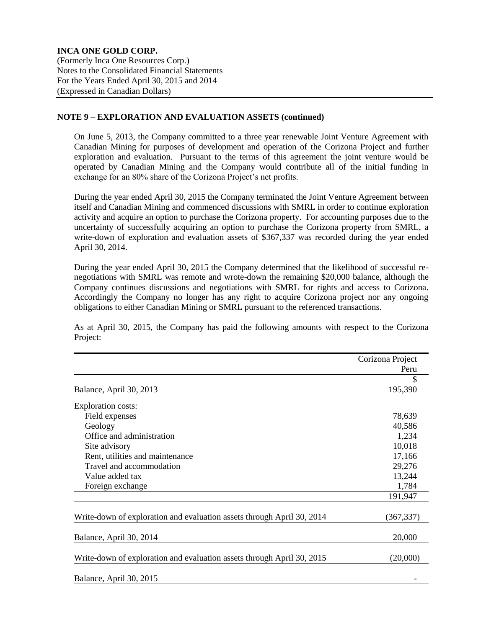### **NOTE 9 – EXPLORATION AND EVALUATION ASSETS (continued)**

On June 5, 2013, the Company committed to a three year renewable Joint Venture Agreement with Canadian Mining for purposes of development and operation of the Corizona Project and further exploration and evaluation. Pursuant to the terms of this agreement the joint venture would be operated by Canadian Mining and the Company would contribute all of the initial funding in exchange for an 80% share of the Corizona Project's net profits.

During the year ended April 30, 2015 the Company terminated the Joint Venture Agreement between itself and Canadian Mining and commenced discussions with SMRL in order to continue exploration activity and acquire an option to purchase the Corizona property. For accounting purposes due to the uncertainty of successfully acquiring an option to purchase the Corizona property from SMRL, a write-down of exploration and evaluation assets of \$367,337 was recorded during the year ended April 30, 2014.

During the year ended April 30, 2015 the Company determined that the likelihood of successful renegotiations with SMRL was remote and wrote-down the remaining \$20,000 balance, although the Company continues discussions and negotiations with SMRL for rights and access to Corizona. Accordingly the Company no longer has any right to acquire Corizona project nor any ongoing obligations to either Canadian Mining or SMRL pursuant to the referenced transactions.

As at April 30, 2015, the Company has paid the following amounts with respect to the Corizona Project:

|                                                                        | Corizona Project |
|------------------------------------------------------------------------|------------------|
|                                                                        | Peru             |
|                                                                        | \$               |
| Balance, April 30, 2013                                                | 195,390          |
| <b>Exploration costs:</b>                                              |                  |
| Field expenses                                                         | 78,639           |
| Geology                                                                | 40,586           |
| Office and administration                                              | 1,234            |
| Site advisory                                                          | 10,018           |
| Rent, utilities and maintenance                                        | 17,166           |
| Travel and accommodation                                               | 29,276           |
| Value added tax                                                        | 13,244           |
| Foreign exchange                                                       | 1,784            |
|                                                                        | 191,947          |
| Write-down of exploration and evaluation assets through April 30, 2014 | (367, 337)       |
| Balance, April 30, 2014                                                | 20,000           |
| Write-down of exploration and evaluation assets through April 30, 2015 | (20,000)         |
| Balance, April 30, 2015                                                |                  |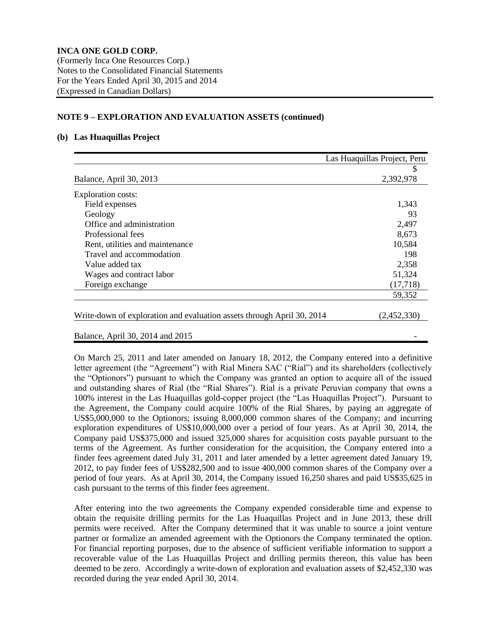### **NOTE 9 – EXPLORATION AND EVALUATION ASSETS (continued)**

### **(b) Las Huaquillas Project**

|                                                                        | Las Huaquillas Project, Peru |
|------------------------------------------------------------------------|------------------------------|
|                                                                        |                              |
| Balance, April 30, 2013                                                | 2,392,978                    |
| <b>Exploration costs:</b>                                              |                              |
| Field expenses                                                         | 1,343                        |
| Geology                                                                | 93                           |
| Office and administration                                              | 2,497                        |
| Professional fees                                                      | 8,673                        |
| Rent, utilities and maintenance                                        | 10,584                       |
| Travel and accommodation                                               | 198                          |
| Value added tax                                                        | 2,358                        |
| Wages and contract labor                                               | 51,324                       |
| Foreign exchange                                                       | (17,718)                     |
|                                                                        | 59,352                       |
| Write-down of exploration and evaluation assets through April 30, 2014 | (2,452,330)                  |

Balance, April 30, 2014 and 2015 -

On March 25, 2011 and later amended on January 18, 2012, the Company entered into a definitive letter agreement (the "Agreement") with Rial Minera SAC ("Rial") and its shareholders (collectively the "Optionors") pursuant to which the Company was granted an option to acquire all of the issued and outstanding shares of Rial (the "Rial Shares"). Rial is a private Peruvian company that owns a 100% interest in the Las Huaquillas gold-copper project (the "Las Huaquillas Project"). Pursuant to the Agreement, the Company could acquire 100% of the Rial Shares, by paying an aggregate of US\$5,000,000 to the Optionors; issuing 8,000,000 common shares of the Company; and incurring exploration expenditures of US\$10,000,000 over a period of four years. As at April 30, 2014, the Company paid US\$375,000 and issued 325,000 shares for acquisition costs payable pursuant to the terms of the Agreement. As further consideration for the acquisition, the Company entered into a finder fees agreement dated July 31, 2011 and later amended by a letter agreement dated January 19, 2012, to pay finder fees of US\$282,500 and to issue 400,000 common shares of the Company over a period of four years. As at April 30, 2014, the Company issued 16,250 shares and paid US\$35,625 in cash pursuant to the terms of this finder fees agreement.

After entering into the two agreements the Company expended considerable time and expense to obtain the requisite drilling permits for the Las Huaquillas Project and in June 2013, these drill permits were received. After the Company determined that it was unable to source a joint venture partner or formalize an amended agreement with the Optionors the Company terminated the option. For financial reporting purposes, due to the absence of sufficient verifiable information to support a recoverable value of the Las Huaquillas Project and drilling permits thereon, this value has been deemed to be zero. Accordingly a write-down of exploration and evaluation assets of \$2,452,330 was recorded during the year ended April 30, 2014.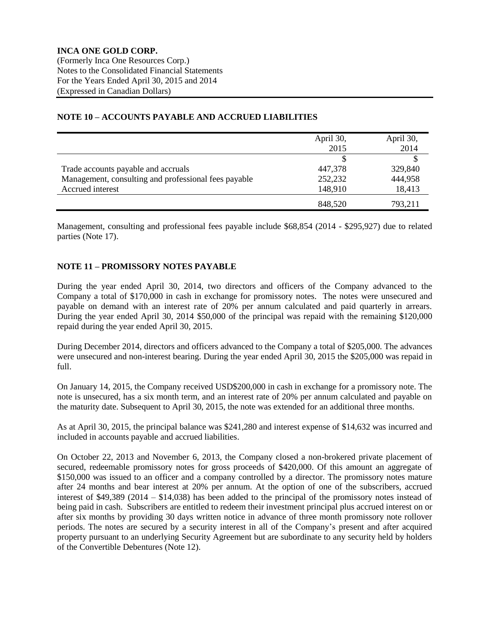|                                                      | April 30, | April 30, |
|------------------------------------------------------|-----------|-----------|
|                                                      | 2015      | 2014      |
|                                                      |           |           |
| Trade accounts payable and accruals                  | 447,378   | 329,840   |
| Management, consulting and professional fees payable | 252,232   | 444,958   |
| Accrued interest                                     | 148,910   | 18,413    |
|                                                      | 848,520   | 793,211   |

# **NOTE 10 – ACCOUNTS PAYABLE AND ACCRUED LIABILITIES**

Management, consulting and professional fees payable include \$68,854 (2014 - \$295,927) due to related parties (Note 17).

# **NOTE 11 – PROMISSORY NOTES PAYABLE**

During the year ended April 30, 2014, two directors and officers of the Company advanced to the Company a total of \$170,000 in cash in exchange for promissory notes. The notes were unsecured and payable on demand with an interest rate of 20% per annum calculated and paid quarterly in arrears. During the year ended April 30, 2014 \$50,000 of the principal was repaid with the remaining \$120,000 repaid during the year ended April 30, 2015.

During December 2014, directors and officers advanced to the Company a total of \$205,000. The advances were unsecured and non-interest bearing. During the year ended April 30, 2015 the \$205,000 was repaid in full.

On January 14, 2015, the Company received USD\$200,000 in cash in exchange for a promissory note. The note is unsecured, has a six month term, and an interest rate of 20% per annum calculated and payable on the maturity date. Subsequent to April 30, 2015, the note was extended for an additional three months.

As at April 30, 2015, the principal balance was \$241,280 and interest expense of \$14,632 was incurred and included in accounts payable and accrued liabilities.

On October 22, 2013 and November 6, 2013, the Company closed a non-brokered private placement of secured, redeemable promissory notes for gross proceeds of \$420,000. Of this amount an aggregate of \$150,000 was issued to an officer and a company controlled by a director. The promissory notes mature after 24 months and bear interest at 20% per annum. At the option of one of the subscribers, accrued interest of \$49,389 (2014 – \$14,038) has been added to the principal of the promissory notes instead of being paid in cash. Subscribers are entitled to redeem their investment principal plus accrued interest on or after six months by providing 30 days written notice in advance of three month promissory note rollover periods. The notes are secured by a security interest in all of the Company's present and after acquired property pursuant to an underlying Security Agreement but are subordinate to any security held by holders of the Convertible Debentures (Note 12).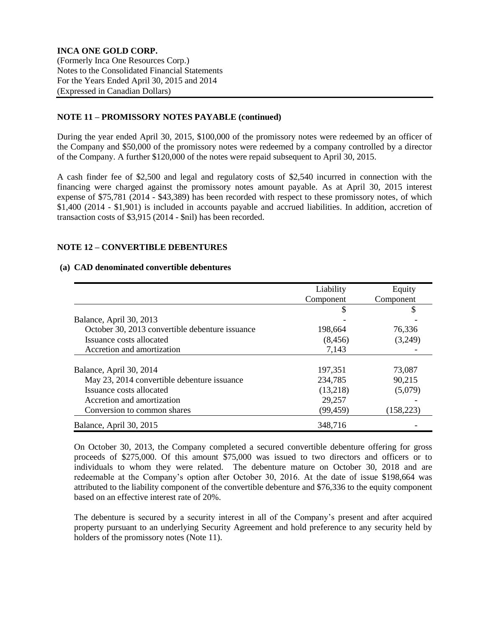# **NOTE 11 – PROMISSORY NOTES PAYABLE (continued)**

During the year ended April 30, 2015, \$100,000 of the promissory notes were redeemed by an officer of the Company and \$50,000 of the promissory notes were redeemed by a company controlled by a director of the Company. A further \$120,000 of the notes were repaid subsequent to April 30, 2015.

A cash finder fee of \$2,500 and legal and regulatory costs of \$2,540 incurred in connection with the financing were charged against the promissory notes amount payable. As at April 30, 2015 interest expense of \$75,781 (2014 - \$43,389) has been recorded with respect to these promissory notes, of which \$1,400 (2014 - \$1,901) is included in accounts payable and accrued liabilities. In addition, accretion of transaction costs of \$3,915 (2014 - \$nil) has been recorded.

# **NOTE 12 – CONVERTIBLE DEBENTURES**

#### **(a) CAD denominated convertible debentures**

|                                                 | Liability | Equity     |
|-------------------------------------------------|-----------|------------|
|                                                 | Component | Component  |
|                                                 | \$        | S          |
| Balance, April 30, 2013                         |           |            |
| October 30, 2013 convertible debenture issuance | 198,664   | 76,336     |
| Issuance costs allocated                        | (8, 456)  | (3,249)    |
| Accretion and amortization                      | 7,143     |            |
|                                                 |           |            |
| Balance, April 30, 2014                         | 197,351   | 73,087     |
| May 23, 2014 convertible debenture issuance     | 234,785   | 90,215     |
| Issuance costs allocated                        | (13,218)  | (5,079)    |
| Accretion and amortization                      | 29,257    |            |
| Conversion to common shares                     | (99, 459) | (158, 223) |
| Balance, April 30, 2015                         | 348,716   |            |

On October 30, 2013, the Company completed a secured convertible debenture offering for gross proceeds of \$275,000. Of this amount \$75,000 was issued to two directors and officers or to individuals to whom they were related. The debenture mature on October 30, 2018 and are redeemable at the Company's option after October 30, 2016. At the date of issue \$198,664 was attributed to the liability component of the convertible debenture and \$76,336 to the equity component based on an effective interest rate of 20%.

The debenture is secured by a security interest in all of the Company's present and after acquired property pursuant to an underlying Security Agreement and hold preference to any security held by holders of the promissory notes (Note 11).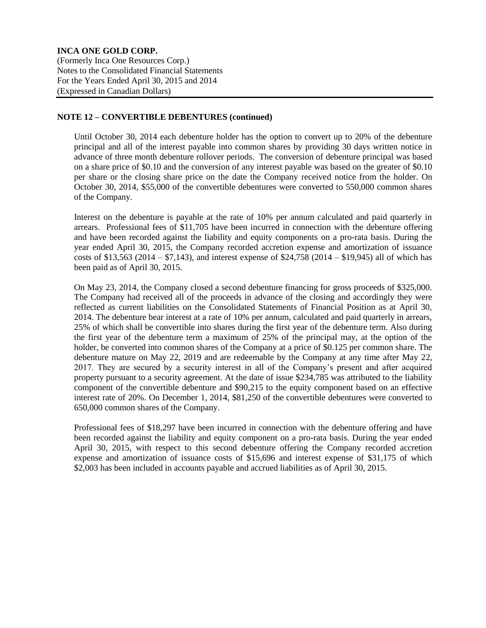### **NOTE 12 – CONVERTIBLE DEBENTURES (continued)**

Until October 30, 2014 each debenture holder has the option to convert up to 20% of the debenture principal and all of the interest payable into common shares by providing 30 days written notice in advance of three month debenture rollover periods. The conversion of debenture principal was based on a share price of \$0.10 and the conversion of any interest payable was based on the greater of \$0.10 per share or the closing share price on the date the Company received notice from the holder. On October 30, 2014, \$55,000 of the convertible debentures were converted to 550,000 common shares of the Company.

Interest on the debenture is payable at the rate of 10% per annum calculated and paid quarterly in arrears. Professional fees of \$11,705 have been incurred in connection with the debenture offering and have been recorded against the liability and equity components on a pro-rata basis. During the year ended April 30, 2015, the Company recorded accretion expense and amortization of issuance costs of \$13,563 (2014 – \$7,143), and interest expense of \$24,758 (2014 – \$19,945) all of which has been paid as of April 30, 2015.

On May 23, 2014, the Company closed a second debenture financing for gross proceeds of \$325,000. The Company had received all of the proceeds in advance of the closing and accordingly they were reflected as current liabilities on the Consolidated Statements of Financial Position as at April 30, 2014. The debenture bear interest at a rate of 10% per annum, calculated and paid quarterly in arrears, 25% of which shall be convertible into shares during the first year of the debenture term. Also during the first year of the debenture term a maximum of 25% of the principal may, at the option of the holder, be converted into common shares of the Company at a price of \$0.125 per common share. The debenture mature on May 22, 2019 and are redeemable by the Company at any time after May 22, 2017. They are secured by a security interest in all of the Company's present and after acquired property pursuant to a security agreement. At the date of issue \$234,785 was attributed to the liability component of the convertible debenture and \$90,215 to the equity component based on an effective interest rate of 20%. On December 1, 2014, \$81,250 of the convertible debentures were converted to 650,000 common shares of the Company.

Professional fees of \$18,297 have been incurred in connection with the debenture offering and have been recorded against the liability and equity component on a pro-rata basis. During the year ended April 30, 2015, with respect to this second debenture offering the Company recorded accretion expense and amortization of issuance costs of \$15,696 and interest expense of \$31,175 of which \$2,003 has been included in accounts payable and accrued liabilities as of April 30, 2015.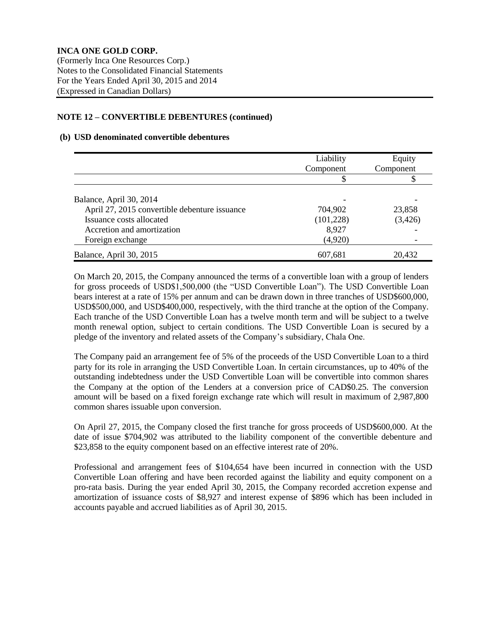# **NOTE 12 – CONVERTIBLE DEBENTURES (continued)**

# **(b) USD denominated convertible debentures**

|                                               | Liability  | Equity    |
|-----------------------------------------------|------------|-----------|
|                                               | Component  | Component |
|                                               | \$         |           |
|                                               |            |           |
| Balance, April 30, 2014                       |            |           |
| April 27, 2015 convertible debenture issuance | 704,902    | 23,858    |
| Issuance costs allocated                      | (101, 228) | (3,426)   |
| Accretion and amortization                    | 8,927      |           |
| Foreign exchange                              | (4,920)    |           |
| Balance, April 30, 2015                       | 607,681    | 20,432    |

On March 20, 2015, the Company announced the terms of a convertible loan with a group of lenders for gross proceeds of USD\$1,500,000 (the "USD Convertible Loan"). The USD Convertible Loan bears interest at a rate of 15% per annum and can be drawn down in three tranches of USD\$600,000, USD\$500,000, and USD\$400,000, respectively, with the third tranche at the option of the Company. Each tranche of the USD Convertible Loan has a twelve month term and will be subject to a twelve month renewal option, subject to certain conditions. The USD Convertible Loan is secured by a pledge of the inventory and related assets of the Company's subsidiary, Chala One.

The Company paid an arrangement fee of 5% of the proceeds of the USD Convertible Loan to a third party for its role in arranging the USD Convertible Loan. In certain circumstances, up to 40% of the outstanding indebtedness under the USD Convertible Loan will be convertible into common shares the Company at the option of the Lenders at a conversion price of CAD\$0.25. The conversion amount will be based on a fixed foreign exchange rate which will result in maximum of 2,987,800 common shares issuable upon conversion.

On April 27, 2015, the Company closed the first tranche for gross proceeds of USD\$600,000. At the date of issue \$704,902 was attributed to the liability component of the convertible debenture and \$23,858 to the equity component based on an effective interest rate of 20%.

Professional and arrangement fees of \$104,654 have been incurred in connection with the USD Convertible Loan offering and have been recorded against the liability and equity component on a pro-rata basis. During the year ended April 30, 2015, the Company recorded accretion expense and amortization of issuance costs of \$8,927 and interest expense of \$896 which has been included in accounts payable and accrued liabilities as of April 30, 2015.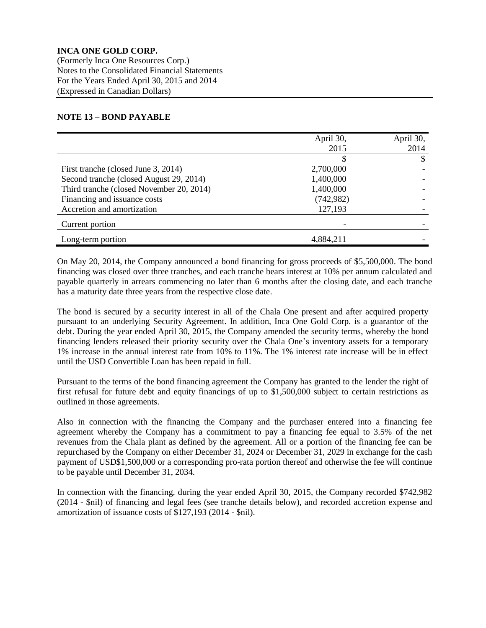# **NOTE 13 – BOND PAYABLE**

|                                          | April 30,<br>2015 | April 30,<br>2014 |
|------------------------------------------|-------------------|-------------------|
|                                          |                   | \$                |
| First tranche (closed June 3, 2014)      | 2,700,000         |                   |
| Second tranche (closed August 29, 2014)  | 1,400,000         |                   |
| Third tranche (closed November 20, 2014) | 1,400,000         |                   |
| Financing and issuance costs             | (742, 982)        |                   |
| Accretion and amortization               | 127,193           |                   |
| Current portion                          |                   |                   |
| Long-term portion                        | 4,884,211         |                   |

On May 20, 2014, the Company announced a bond financing for gross proceeds of \$5,500,000. The bond financing was closed over three tranches, and each tranche bears interest at 10% per annum calculated and payable quarterly in arrears commencing no later than 6 months after the closing date, and each tranche has a maturity date three years from the respective close date.

The bond is secured by a security interest in all of the Chala One present and after acquired property pursuant to an underlying Security Agreement. In addition, Inca One Gold Corp. is a guarantor of the debt. During the year ended April 30, 2015, the Company amended the security terms, whereby the bond financing lenders released their priority security over the Chala One's inventory assets for a temporary 1% increase in the annual interest rate from 10% to 11%. The 1% interest rate increase will be in effect until the USD Convertible Loan has been repaid in full.

Pursuant to the terms of the bond financing agreement the Company has granted to the lender the right of first refusal for future debt and equity financings of up to \$1,500,000 subject to certain restrictions as outlined in those agreements.

Also in connection with the financing the Company and the purchaser entered into a financing fee agreement whereby the Company has a commitment to pay a financing fee equal to 3.5% of the net revenues from the Chala plant as defined by the agreement. All or a portion of the financing fee can be repurchased by the Company on either December 31, 2024 or December 31, 2029 in exchange for the cash payment of USD\$1,500,000 or a corresponding pro-rata portion thereof and otherwise the fee will continue to be payable until December 31, 2034.

In connection with the financing, during the year ended April 30, 2015, the Company recorded \$742,982 (2014 - \$nil) of financing and legal fees (see tranche details below), and recorded accretion expense and amortization of issuance costs of \$127,193 (2014 - \$nil).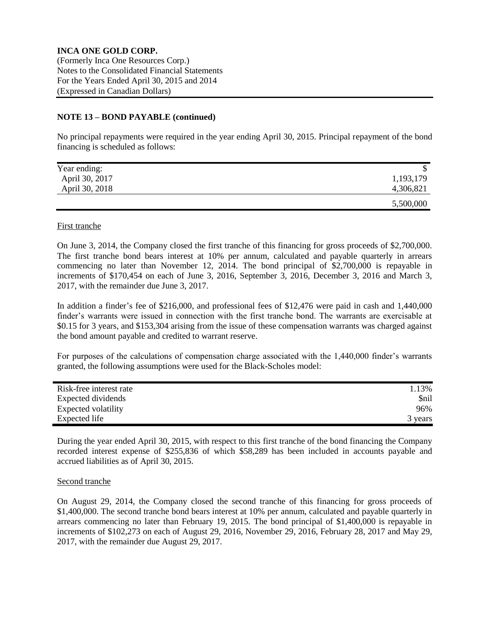### **NOTE 13 – BOND PAYABLE (continued)**

No principal repayments were required in the year ending April 30, 2015. Principal repayment of the bond financing is scheduled as follows:

| Year ending:   |           |
|----------------|-----------|
| April 30, 2017 | 1,193,179 |
| April 30, 2018 | 4,306,821 |
|                | 5,500,000 |

### First tranche

On June 3, 2014, the Company closed the first tranche of this financing for gross proceeds of \$2,700,000. The first tranche bond bears interest at 10% per annum, calculated and payable quarterly in arrears commencing no later than November 12, 2014. The bond principal of \$2,700,000 is repayable in increments of \$170,454 on each of June 3, 2016, September 3, 2016, December 3, 2016 and March 3, 2017, with the remainder due June 3, 2017.

In addition a finder's fee of \$216,000, and professional fees of \$12,476 were paid in cash and 1,440,000 finder's warrants were issued in connection with the first tranche bond. The warrants are exercisable at \$0.15 for 3 years, and \$153,304 arising from the issue of these compensation warrants was charged against the bond amount payable and credited to warrant reserve.

For purposes of the calculations of compensation charge associated with the 1,440,000 finder's warrants granted, the following assumptions were used for the Black-Scholes model:

| Risk-free interest rate | 1.13%   |
|-------------------------|---------|
| Expected dividends      | \$nil   |
| Expected volatility     | 96%     |
| Expected life           | 3 years |

During the year ended April 30, 2015, with respect to this first tranche of the bond financing the Company recorded interest expense of \$255,836 of which \$58,289 has been included in accounts payable and accrued liabilities as of April 30, 2015.

### Second tranche

On August 29, 2014, the Company closed the second tranche of this financing for gross proceeds of \$1,400,000. The second tranche bond bears interest at 10% per annum, calculated and payable quarterly in arrears commencing no later than February 19, 2015. The bond principal of \$1,400,000 is repayable in increments of \$102,273 on each of August 29, 2016, November 29, 2016, February 28, 2017 and May 29, 2017, with the remainder due August 29, 2017.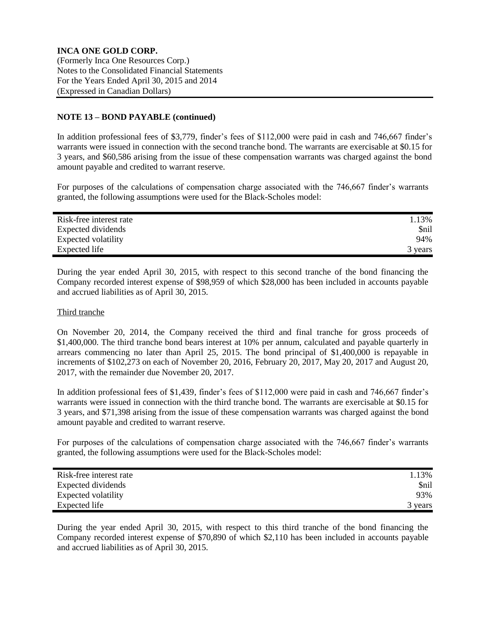# **NOTE 13 – BOND PAYABLE (continued)**

In addition professional fees of \$3,779, finder's fees of \$112,000 were paid in cash and 746,667 finder's warrants were issued in connection with the second tranche bond. The warrants are exercisable at \$0.15 for 3 years, and \$60,586 arising from the issue of these compensation warrants was charged against the bond amount payable and credited to warrant reserve.

For purposes of the calculations of compensation charge associated with the 746,667 finder's warrants granted, the following assumptions were used for the Black-Scholes model:

| Risk-free interest rate | 1.13%       |
|-------------------------|-------------|
| Expected dividends      | <b>Snil</b> |
| Expected volatility     | 94%         |
| Expected life           | 3 years     |

During the year ended April 30, 2015, with respect to this second tranche of the bond financing the Company recorded interest expense of \$98,959 of which \$28,000 has been included in accounts payable and accrued liabilities as of April 30, 2015.

# Third tranche

On November 20, 2014, the Company received the third and final tranche for gross proceeds of \$1,400,000. The third tranche bond bears interest at 10% per annum, calculated and payable quarterly in arrears commencing no later than April 25, 2015. The bond principal of \$1,400,000 is repayable in increments of \$102,273 on each of November 20, 2016, February 20, 2017, May 20, 2017 and August 20, 2017, with the remainder due November 20, 2017.

In addition professional fees of \$1,439, finder's fees of \$112,000 were paid in cash and 746,667 finder's warrants were issued in connection with the third tranche bond. The warrants are exercisable at \$0.15 for 3 years, and \$71,398 arising from the issue of these compensation warrants was charged against the bond amount payable and credited to warrant reserve.

For purposes of the calculations of compensation charge associated with the 746,667 finder's warrants granted, the following assumptions were used for the Black-Scholes model:

| Risk-free interest rate | 1.13%       |
|-------------------------|-------------|
| Expected dividends      | <b>Snil</b> |
| Expected volatility     | 93%         |
| Expected life           | 3 years     |

During the year ended April 30, 2015, with respect to this third tranche of the bond financing the Company recorded interest expense of \$70,890 of which \$2,110 has been included in accounts payable and accrued liabilities as of April 30, 2015.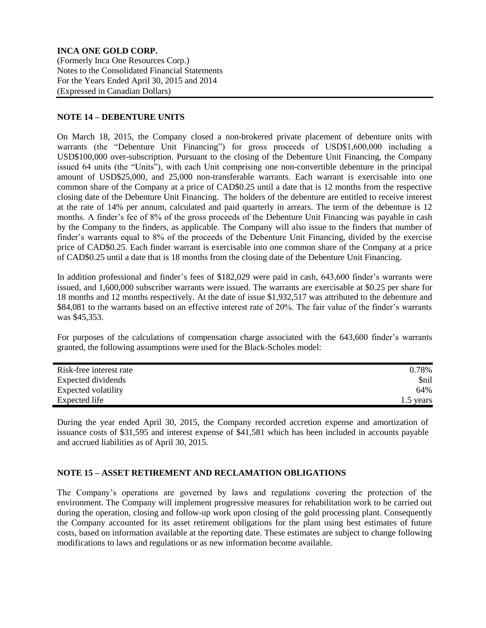# **NOTE 14 – DEBENTURE UNITS**

On March 18, 2015, the Company closed a non-brokered private placement of debenture units with warrants (the "Debenture Unit Financing") for gross proceeds of USD\$1,600,000 including a USD\$100,000 over-subscription. Pursuant to the closing of the Debenture Unit Financing, the Company issued 64 units (the "Units"), with each Unit comprising one non-convertible debenture in the principal amount of USD\$25,000, and 25,000 non-transferable warrants. Each warrant is exercisable into one common share of the Company at a price of CAD\$0.25 until a date that is 12 months from the respective closing date of the Debenture Unit Financing. The holders of the debenture are entitled to receive interest at the rate of 14% per annum, calculated and paid quarterly in arrears. The term of the debenture is 12 months. A finder's fee of 8% of the gross proceeds of the Debenture Unit Financing was payable in cash by the Company to the finders, as applicable. The Company will also issue to the finders that number of finder's warrants equal to 8% of the proceeds of the Debenture Unit Financing, divided by the exercise price of CAD\$0.25. Each finder warrant is exercisable into one common share of the Company at a price of CAD\$0.25 until a date that is 18 months from the closing date of the Debenture Unit Financing.

In addition professional and finder's fees of \$182,029 were paid in cash, 643,600 finder's warrants were issued, and 1,600,000 subscriber warrants were issued. The warrants are exercisable at \$0.25 per share for 18 months and 12 months respectively. At the date of issue \$1,932,517 was attributed to the debenture and \$84,081 to the warrants based on an effective interest rate of 20%. The fair value of the finder's warrants was \$45,353.

For purposes of the calculations of compensation charge associated with the 643,600 finder's warrants granted, the following assumptions were used for the Black-Scholes model:

| Risk-free interest rate | 0.78%       |
|-------------------------|-------------|
| Expected dividends      | <i>Snil</i> |
| Expected volatility     | 64%         |
| Expected life           | 1.5 years   |

During the year ended April 30, 2015, the Company recorded accretion expense and amortization of issuance costs of \$31,595 and interest expense of \$41,581 which has been included in accounts payable and accrued liabilities as of April 30, 2015.

# **NOTE 15 – ASSET RETIREMENT AND RECLAMATION OBLIGATIONS**

The Company's operations are governed by laws and regulations covering the protection of the environment. The Company will implement progressive measures for rehabilitation work to be carried out during the operation, closing and follow-up work upon closing of the gold processing plant. Consequently the Company accounted for its asset retirement obligations for the plant using best estimates of future costs, based on information available at the reporting date. These estimates are subject to change following modifications to laws and regulations or as new information become available.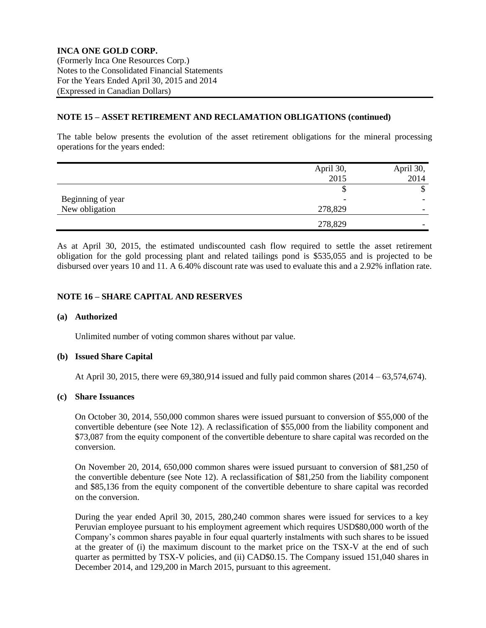# **NOTE 15 – ASSET RETIREMENT AND RECLAMATION OBLIGATIONS (continued)**

The table below presents the evolution of the asset retirement obligations for the mineral processing operations for the years ended:

|                   | April 30, | April 30,                |
|-------------------|-----------|--------------------------|
|                   | 2015      | 2014                     |
|                   |           | ╜                        |
| Beginning of year |           | -                        |
| New obligation    | 278,829   | $\overline{\phantom{0}}$ |
|                   | 278,829   | $\overline{\phantom{0}}$ |

As at April 30, 2015, the estimated undiscounted cash flow required to settle the asset retirement obligation for the gold processing plant and related tailings pond is \$535,055 and is projected to be disbursed over years 10 and 11. A 6.40% discount rate was used to evaluate this and a 2.92% inflation rate.

# **NOTE 16 – SHARE CAPITAL AND RESERVES**

#### **(a) Authorized**

Unlimited number of voting common shares without par value.

#### **(b) Issued Share Capital**

At April 30, 2015, there were 69,380,914 issued and fully paid common shares (2014 – 63,574,674).

# **(c) Share Issuances**

On October 30, 2014, 550,000 common shares were issued pursuant to conversion of \$55,000 of the convertible debenture (see Note 12). A reclassification of \$55,000 from the liability component and \$73,087 from the equity component of the convertible debenture to share capital was recorded on the conversion.

On November 20, 2014, 650,000 common shares were issued pursuant to conversion of \$81,250 of the convertible debenture (see Note 12). A reclassification of \$81,250 from the liability component and \$85,136 from the equity component of the convertible debenture to share capital was recorded on the conversion.

During the year ended April 30, 2015, 280,240 common shares were issued for services to a key Peruvian employee pursuant to his employment agreement which requires USD\$80,000 worth of the Company's common shares payable in four equal quarterly instalments with such shares to be issued at the greater of (i) the maximum discount to the market price on the TSX-V at the end of such quarter as permitted by TSX-V policies, and (ii) CAD\$0.15. The Company issued 151,040 shares in December 2014, and 129,200 in March 2015, pursuant to this agreement.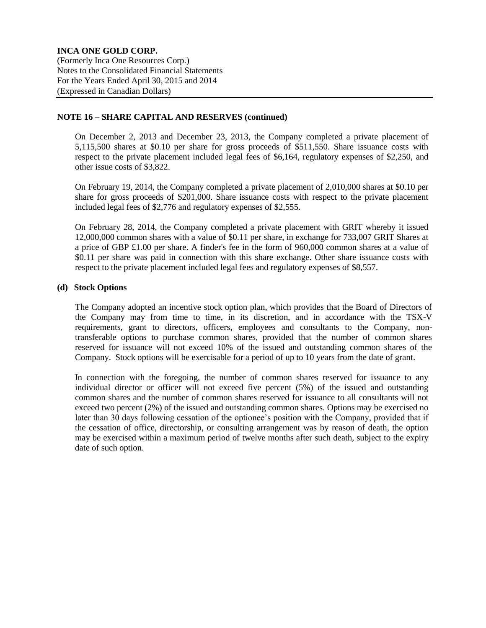# **NOTE 16 – SHARE CAPITAL AND RESERVES (continued)**

On December 2, 2013 and December 23, 2013, the Company completed a private placement of 5,115,500 shares at \$0.10 per share for gross proceeds of \$511,550. Share issuance costs with respect to the private placement included legal fees of \$6,164, regulatory expenses of \$2,250, and other issue costs of \$3,822.

On February 19, 2014, the Company completed a private placement of 2,010,000 shares at \$0.10 per share for gross proceeds of \$201,000. Share issuance costs with respect to the private placement included legal fees of \$2,776 and regulatory expenses of \$2,555.

On February 28, 2014, the Company completed a private placement with GRIT whereby it issued 12,000,000 common shares with a value of \$0.11 per share, in exchange for 733,007 GRIT Shares at a price of GBP £1.00 per share. A finder's fee in the form of 960,000 common shares at a value of \$0.11 per share was paid in connection with this share exchange. Other share issuance costs with respect to the private placement included legal fees and regulatory expenses of \$8,557.

# **(d) Stock Options**

The Company adopted an incentive stock option plan, which provides that the Board of Directors of the Company may from time to time, in its discretion, and in accordance with the TSX-V requirements, grant to directors, officers, employees and consultants to the Company, nontransferable options to purchase common shares, provided that the number of common shares reserved for issuance will not exceed 10% of the issued and outstanding common shares of the Company. Stock options will be exercisable for a period of up to 10 years from the date of grant.

In connection with the foregoing, the number of common shares reserved for issuance to any individual director or officer will not exceed five percent (5%) of the issued and outstanding common shares and the number of common shares reserved for issuance to all consultants will not exceed two percent (2%) of the issued and outstanding common shares. Options may be exercised no later than 30 days following cessation of the optionee's position with the Company, provided that if the cessation of office, directorship, or consulting arrangement was by reason of death, the option may be exercised within a maximum period of twelve months after such death, subject to the expiry date of such option.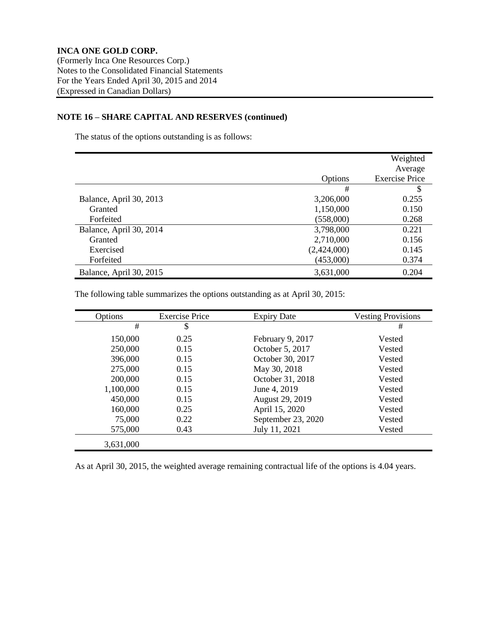# **NOTE 16 – SHARE CAPITAL AND RESERVES (continued)**

The status of the options outstanding is as follows:

|                         |             | Weighted              |
|-------------------------|-------------|-----------------------|
|                         |             | Average               |
|                         | Options     | <b>Exercise Price</b> |
|                         | #           | \$                    |
| Balance, April 30, 2013 | 3,206,000   | 0.255                 |
| Granted                 | 1,150,000   | 0.150                 |
| Forfeited               | (558,000)   | 0.268                 |
| Balance, April 30, 2014 | 3,798,000   | 0.221                 |
| Granted                 | 2,710,000   | 0.156                 |
| Exercised               | (2,424,000) | 0.145                 |
| Forfeited               | (453,000)   | 0.374                 |
| Balance, April 30, 2015 | 3,631,000   | 0.204                 |

The following table summarizes the options outstanding as at April 30, 2015:

| Options   | <b>Exercise Price</b> | <b>Expiry Date</b> | <b>Vesting Provisions</b> |
|-----------|-----------------------|--------------------|---------------------------|
| #         | \$                    |                    | #                         |
| 150,000   | 0.25                  | February 9, 2017   | Vested                    |
| 250,000   | 0.15                  | October 5, 2017    | Vested                    |
| 396,000   | 0.15                  | October 30, 2017   | Vested                    |
| 275,000   | 0.15                  | May 30, 2018       | Vested                    |
| 200,000   | 0.15                  | October 31, 2018   | Vested                    |
| 1,100,000 | 0.15                  | June 4, 2019       | Vested                    |
| 450,000   | 0.15                  | August 29, 2019    | Vested                    |
| 160,000   | 0.25                  | April 15, 2020     | Vested                    |
| 75,000    | 0.22                  | September 23, 2020 | Vested                    |
| 575,000   | 0.43                  | July 11, 2021      | Vested                    |
| 3,631,000 |                       |                    |                           |

As at April 30, 2015, the weighted average remaining contractual life of the options is 4.04 years.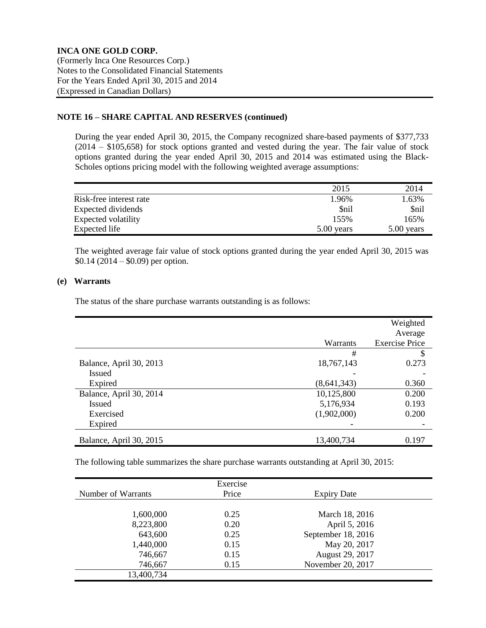# **NOTE 16 – SHARE CAPITAL AND RESERVES (continued)**

During the year ended April 30, 2015, the Company recognized share-based payments of \$377,733 (2014 – \$105,658) for stock options granted and vested during the year. The fair value of stock options granted during the year ended April 30, 2015 and 2014 was estimated using the Black-Scholes options pricing model with the following weighted average assumptions:

|                         | 2015         | 2014        |
|-------------------------|--------------|-------------|
| Risk-free interest rate | 1.96%        | 1.63%       |
| Expected dividends      | \$nil        | <b>Snil</b> |
| Expected volatility     | 155%         | 165%        |
| Expected life           | $5.00$ years | 5.00 years  |

The weighted average fair value of stock options granted during the year ended April 30, 2015 was \$0.14 (2014 – \$0.09) per option.

# **(e) Warrants**

The status of the share purchase warrants outstanding is as follows:

|                         |               | Weighted<br>Average   |
|-------------------------|---------------|-----------------------|
|                         | Warrants      | <b>Exercise Price</b> |
|                         | #             | \$                    |
| Balance, April 30, 2013 | 18,767,143    | 0.273                 |
| <b>Issued</b>           |               |                       |
| Expired                 | (8, 641, 343) | 0.360                 |
| Balance, April 30, 2014 | 10,125,800    | 0.200                 |
| <b>Issued</b>           | 5,176,934     | 0.193                 |
| Exercised               | (1,902,000)   | 0.200                 |
| Expired                 |               |                       |
| Balance, April 30, 2015 | 13,400,734    | 0.197                 |

The following table summarizes the share purchase warrants outstanding at April 30, 2015:

|                    | Exercise |                    |  |
|--------------------|----------|--------------------|--|
| Number of Warrants | Price    | <b>Expiry Date</b> |  |
| 1,600,000          | 0.25     | March 18, 2016     |  |
| 8,223,800          | 0.20     | April 5, 2016      |  |
| 643,600            | 0.25     | September 18, 2016 |  |
| 1,440,000          | 0.15     | May 20, 2017       |  |
| 746,667            | 0.15     | August 29, 2017    |  |
| 746,667            | 0.15     | November 20, 2017  |  |
| 13,400,734         |          |                    |  |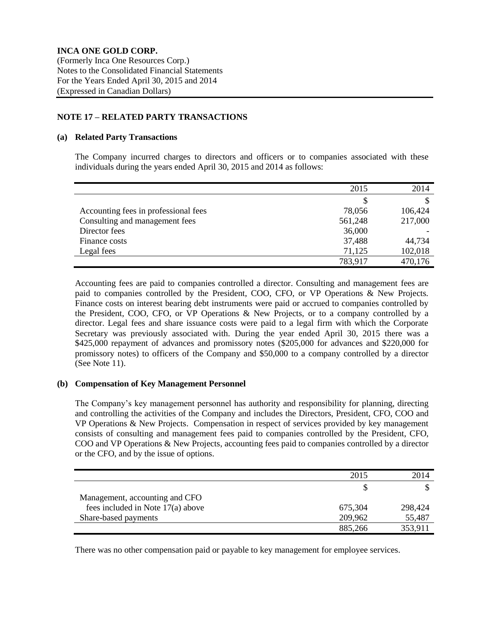# **NOTE 17 – RELATED PARTY TRANSACTIONS**

# **(a) Related Party Transactions**

The Company incurred charges to directors and officers or to companies associated with these individuals during the years ended April 30, 2015 and 2014 as follows:

|                                      | 2015    | 2014    |
|--------------------------------------|---------|---------|
|                                      | S       |         |
| Accounting fees in professional fees | 78,056  | 106,424 |
| Consulting and management fees       | 561,248 | 217,000 |
| Director fees                        | 36,000  |         |
| Finance costs                        | 37,488  | 44,734  |
| Legal fees                           | 71,125  | 102,018 |
|                                      | 783,917 | 470,176 |

Accounting fees are paid to companies controlled a director. Consulting and management fees are paid to companies controlled by the President, COO, CFO, or VP Operations & New Projects. Finance costs on interest bearing debt instruments were paid or accrued to companies controlled by the President, COO, CFO, or VP Operations & New Projects, or to a company controlled by a director. Legal fees and share issuance costs were paid to a legal firm with which the Corporate Secretary was previously associated with. During the year ended April 30, 2015 there was a \$425,000 repayment of advances and promissory notes (\$205,000 for advances and \$220,000 for promissory notes) to officers of the Company and \$50,000 to a company controlled by a director (See Note 11).

# **(b) Compensation of Key Management Personnel**

The Company's key management personnel has authority and responsibility for planning, directing and controlling the activities of the Company and includes the Directors, President, CFO, COO and VP Operations & New Projects. Compensation in respect of services provided by key management consists of consulting and management fees paid to companies controlled by the President, CFO, COO and VP Operations & New Projects, accounting fees paid to companies controlled by a director or the CFO, and by the issue of options.

|                                   | 2015    | 2014    |
|-----------------------------------|---------|---------|
|                                   |         |         |
| Management, accounting and CFO    |         |         |
| fees included in Note 17(a) above | 675,304 | 298,424 |
| Share-based payments              | 209,962 | 55,487  |
|                                   | 885,266 | 353,911 |

There was no other compensation paid or payable to key management for employee services.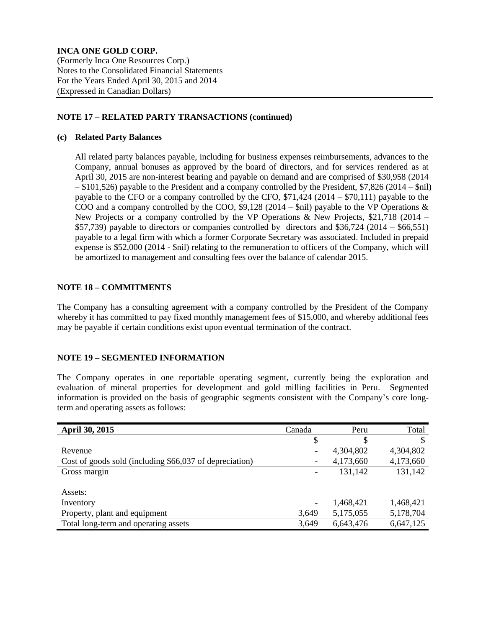# **NOTE 17 – RELATED PARTY TRANSACTIONS (continued)**

# **(c) Related Party Balances**

All related party balances payable, including for business expenses reimbursements, advances to the Company, annual bonuses as approved by the board of directors, and for services rendered as at April 30, 2015 are non-interest bearing and payable on demand and are comprised of \$30,958 (2014 – \$101,526) payable to the President and a company controlled by the President, \$7,826 (2014 – \$nil) payable to the CFO or a company controlled by the CFO, \$71,424 (2014 – \$70,111) payable to the COO and a company controlled by the COO,  $$9,128$  (2014 –  $$nil)$  payable to the VP Operations & New Projects or a company controlled by the VP Operations & New Projects,  $$21,718$  (2014 –  $$57,739$ ) payable to directors or companies controlled by directors and  $$36,724$  (2014 – \$66,551) payable to a legal firm with which a former Corporate Secretary was associated. Included in prepaid expense is \$52,000 (2014 - \$nil) relating to the remuneration to officers of the Company, which will be amortized to management and consulting fees over the balance of calendar 2015.

# **NOTE 18 – COMMITMENTS**

The Company has a consulting agreement with a company controlled by the President of the Company whereby it has committed to pay fixed monthly management fees of \$15,000, and whereby additional fees may be payable if certain conditions exist upon eventual termination of the contract.

# **NOTE 19 – SEGMENTED INFORMATION**

The Company operates in one reportable operating segment, currently being the exploration and evaluation of mineral properties for development and gold milling facilities in Peru. Segmented information is provided on the basis of geographic segments consistent with the Company's core longterm and operating assets as follows:

| <b>April 30, 2015</b>                                   | Canada | Peru      | Total     |
|---------------------------------------------------------|--------|-----------|-----------|
|                                                         | \$     | S         |           |
| Revenue                                                 |        | 4,304,802 | 4,304,802 |
| Cost of goods sold (including \$66,037 of depreciation) |        | 4,173,660 | 4,173,660 |
| Gross margin                                            |        | 131,142   | 131,142   |
|                                                         |        |           |           |
| Assets:                                                 |        |           |           |
| Inventory                                               | -      | 1,468,421 | 1,468,421 |
| Property, plant and equipment                           | 3,649  | 5,175,055 | 5,178,704 |
| Total long-term and operating assets                    | 3,649  | 6,643,476 | 6,647,125 |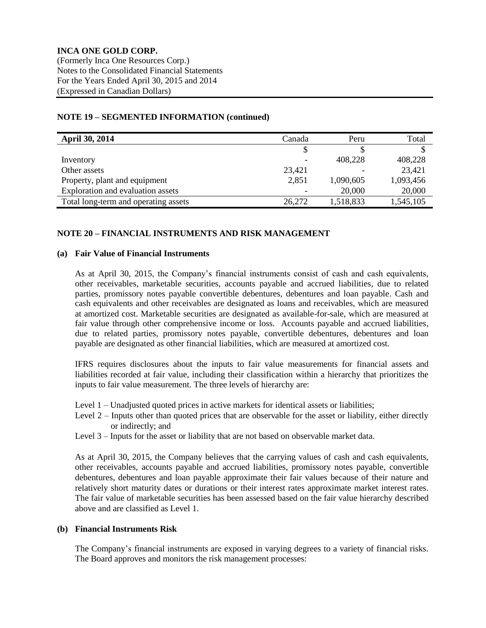# **NOTE 19 – SEGMENTED INFORMATION (continued)**

| <b>April 30, 2014</b>                | Canada | Peru      | Total     |
|--------------------------------------|--------|-----------|-----------|
|                                      |        |           |           |
| Inventory                            |        | 408,228   | 408,228   |
| Other assets                         | 23,421 |           | 23,421    |
| Property, plant and equipment        | 2,851  | 1,090,605 | 1,093,456 |
| Exploration and evaluation assets    |        | 20,000    | 20,000    |
| Total long-term and operating assets | 26,272 | 1,518,833 | 1,545,105 |

### **NOTE 20 – FINANCIAL INSTRUMENTS AND RISK MANAGEMENT**

#### **(a) Fair Value of Financial Instruments**

As at April 30, 2015, the Company's financial instruments consist of cash and cash equivalents, other receivables, marketable securities, accounts payable and accrued liabilities, due to related parties, promissory notes payable convertible debentures, debentures and loan payable. Cash and cash equivalents and other receivables are designated as loans and receivables, which are measured at amortized cost. Marketable securities are designated as available-for-sale, which are measured at fair value through other comprehensive income or loss. Accounts payable and accrued liabilities, due to related parties, promissory notes payable, convertible debentures, debentures and loan payable are designated as other financial liabilities, which are measured at amortized cost.

IFRS requires disclosures about the inputs to fair value measurements for financial assets and liabilities recorded at fair value, including their classification within a hierarchy that prioritizes the inputs to fair value measurement. The three levels of hierarchy are:

- Level 1 Unadjusted quoted prices in active markets for identical assets or liabilities;
- Level 2 Inputs other than quoted prices that are observable for the asset or liability, either directly or indirectly; and
- Level 3 Inputs for the asset or liability that are not based on observable market data.

As at April 30, 2015, the Company believes that the carrying values of cash and cash equivalents, other receivables, accounts payable and accrued liabilities, promissory notes payable, convertible debentures, debentures and loan payable approximate their fair values because of their nature and relatively short maturity dates or durations or their interest rates approximate market interest rates. The fair value of marketable securities has been assessed based on the fair value hierarchy described above and are classified as Level 1.

# **(b) Financial Instruments Risk**

The Company's financial instruments are exposed in varying degrees to a variety of financial risks. The Board approves and monitors the risk management processes: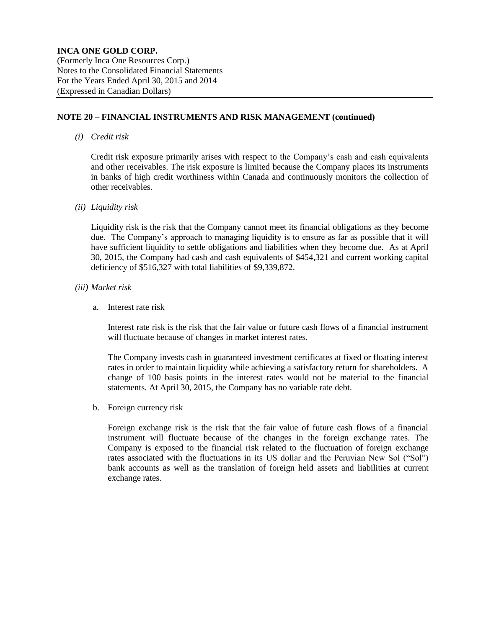### **NOTE 20 – FINANCIAL INSTRUMENTS AND RISK MANAGEMENT (continued)**

*(i) Credit risk*

Credit risk exposure primarily arises with respect to the Company's cash and cash equivalents and other receivables. The risk exposure is limited because the Company places its instruments in banks of high credit worthiness within Canada and continuously monitors the collection of other receivables.

*(ii) Liquidity risk*

Liquidity risk is the risk that the Company cannot meet its financial obligations as they become due. The Company's approach to managing liquidity is to ensure as far as possible that it will have sufficient liquidity to settle obligations and liabilities when they become due. As at April 30, 2015, the Company had cash and cash equivalents of \$454,321 and current working capital deficiency of \$516,327 with total liabilities of \$9,339,872.

- *(iii) Market risk*
	- a. Interest rate risk

Interest rate risk is the risk that the fair value or future cash flows of a financial instrument will fluctuate because of changes in market interest rates.

The Company invests cash in guaranteed investment certificates at fixed or floating interest rates in order to maintain liquidity while achieving a satisfactory return for shareholders. A change of 100 basis points in the interest rates would not be material to the financial statements. At April 30, 2015, the Company has no variable rate debt.

b. Foreign currency risk

Foreign exchange risk is the risk that the fair value of future cash flows of a financial instrument will fluctuate because of the changes in the foreign exchange rates. The Company is exposed to the financial risk related to the fluctuation of foreign exchange rates associated with the fluctuations in its US dollar and the Peruvian New Sol ("Sol") bank accounts as well as the translation of foreign held assets and liabilities at current exchange rates.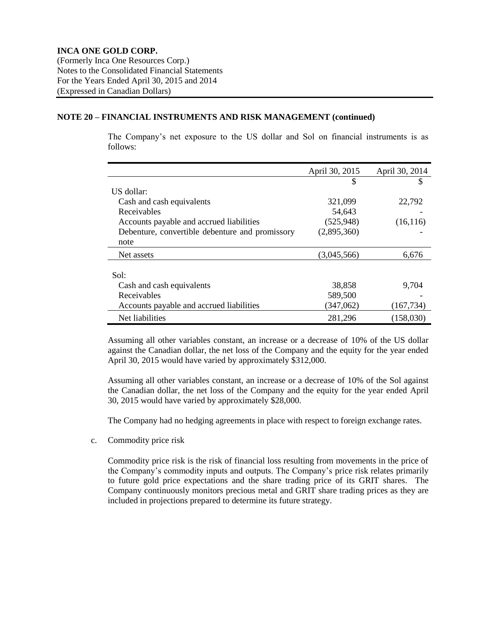### **NOTE 20 – FINANCIAL INSTRUMENTS AND RISK MANAGEMENT (continued)**

The Company's net exposure to the US dollar and Sol on financial instruments is as follows:

|                                                 | April 30, 2015 | April 30, 2014 |
|-------------------------------------------------|----------------|----------------|
|                                                 |                | S              |
| US dollar:                                      |                |                |
| Cash and cash equivalents                       | 321,099        | 22,792         |
| Receivables                                     | 54,643         |                |
| Accounts payable and accrued liabilities        | (525, 948)     | (16, 116)      |
| Debenture, convertible debenture and promissory | (2,895,360)    |                |
| note                                            |                |                |
| Net assets                                      | (3,045,566)    | 6,676          |
|                                                 |                |                |
| Sol:                                            |                |                |
| Cash and cash equivalents                       | 38,858         | 9,704          |
| Receivables                                     | 589,500        |                |
| Accounts payable and accrued liabilities        | (347,062)      | (167,734)      |
| Net liabilities                                 | 281,296        | (158,030)      |

Assuming all other variables constant, an increase or a decrease of 10% of the US dollar against the Canadian dollar, the net loss of the Company and the equity for the year ended April 30, 2015 would have varied by approximately \$312,000.

Assuming all other variables constant, an increase or a decrease of 10% of the Sol against the Canadian dollar, the net loss of the Company and the equity for the year ended April 30, 2015 would have varied by approximately \$28,000.

The Company had no hedging agreements in place with respect to foreign exchange rates.

c. Commodity price risk

Commodity price risk is the risk of financial loss resulting from movements in the price of the Company's commodity inputs and outputs. The Company's price risk relates primarily to future gold price expectations and the share trading price of its GRIT shares. The Company continuously monitors precious metal and GRIT share trading prices as they are included in projections prepared to determine its future strategy.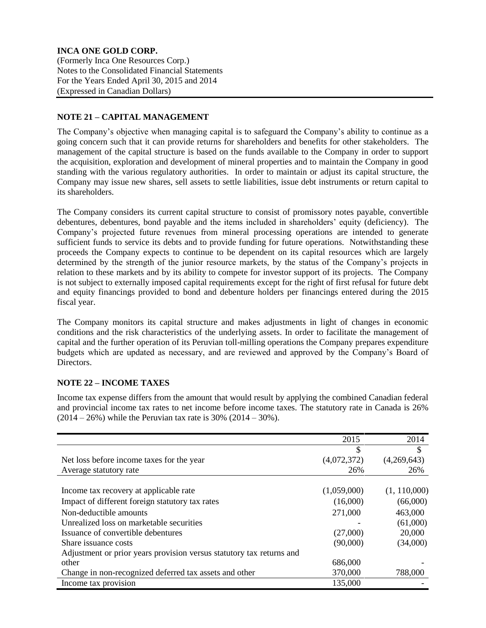# **NOTE 21 – CAPITAL MANAGEMENT**

The Company's objective when managing capital is to safeguard the Company's ability to continue as a going concern such that it can provide returns for shareholders and benefits for other stakeholders. The management of the capital structure is based on the funds available to the Company in order to support the acquisition, exploration and development of mineral properties and to maintain the Company in good standing with the various regulatory authorities. In order to maintain or adjust its capital structure, the Company may issue new shares, sell assets to settle liabilities, issue debt instruments or return capital to its shareholders.

The Company considers its current capital structure to consist of promissory notes payable, convertible debentures, debentures, bond payable and the items included in shareholders' equity (deficiency). The Company's projected future revenues from mineral processing operations are intended to generate sufficient funds to service its debts and to provide funding for future operations. Notwithstanding these proceeds the Company expects to continue to be dependent on its capital resources which are largely determined by the strength of the junior resource markets, by the status of the Company's projects in relation to these markets and by its ability to compete for investor support of its projects. The Company is not subject to externally imposed capital requirements except for the right of first refusal for future debt and equity financings provided to bond and debenture holders per financings entered during the 2015 fiscal year.

The Company monitors its capital structure and makes adjustments in light of changes in economic conditions and the risk characteristics of the underlying assets. In order to facilitate the management of capital and the further operation of its Peruvian toll-milling operations the Company prepares expenditure budgets which are updated as necessary, and are reviewed and approved by the Company's Board of Directors.

# **NOTE 22 – INCOME TAXES**

Income tax expense differs from the amount that would result by applying the combined Canadian federal and provincial income tax rates to net income before income taxes. The statutory rate in Canada is 26%  $(2014 – 26%)$  while the Peruvian tax rate is 30%  $(2014 – 30%)$ .

|                                                                      | 2015        | 2014          |
|----------------------------------------------------------------------|-------------|---------------|
|                                                                      | \$          | $\mathcal{S}$ |
| Net loss before income taxes for the year                            | (4,072,372) | (4,269,643)   |
| Average statutory rate                                               | 26%         | 26%           |
|                                                                      |             |               |
| Income tax recovery at applicable rate                               | (1,059,000) | (1, 110,000)  |
| Impact of different foreign statutory tax rates                      | (16,000)    | (66,000)      |
| Non-deductible amounts                                               | 271,000     | 463,000       |
| Unrealized loss on marketable securities                             |             | (61,000)      |
| Issuance of convertible debentures                                   | (27,000)    | 20,000        |
| Share issuance costs                                                 | (90,000)    | (34,000)      |
| Adjustment or prior years provision versus statutory tax returns and |             |               |
| other                                                                | 686,000     |               |
| Change in non-recognized deferred tax assets and other               | 370,000     | 788,000       |
| Income tax provision                                                 | 135,000     |               |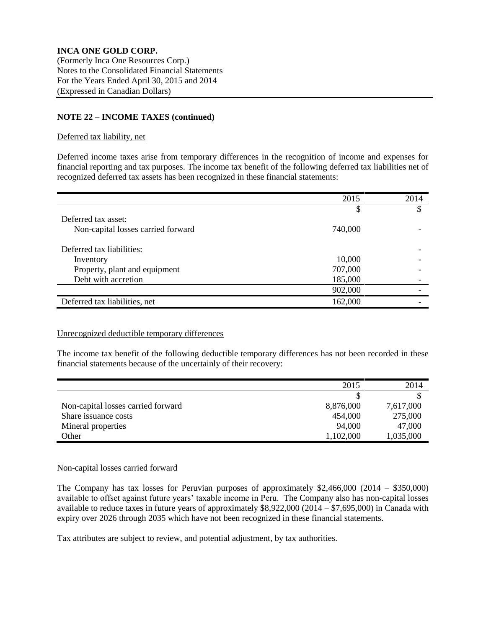# **NOTE 22 – INCOME TAXES (continued)**

# Deferred tax liability, net

Deferred income taxes arise from temporary differences in the recognition of income and expenses for financial reporting and tax purposes. The income tax benefit of the following deferred tax liabilities net of recognized deferred tax assets has been recognized in these financial statements:

|                                    | 2015    | 2014 |
|------------------------------------|---------|------|
|                                    | \$      | S    |
| Deferred tax asset:                |         |      |
| Non-capital losses carried forward | 740,000 |      |
| Deferred tax liabilities:          |         |      |
| Inventory                          | 10,000  |      |
| Property, plant and equipment      | 707,000 |      |
| Debt with accretion                | 185,000 |      |
|                                    | 902,000 |      |
| Deferred tax liabilities, net      | 162,000 |      |

### Unrecognized deductible temporary differences

The income tax benefit of the following deductible temporary differences has not been recorded in these financial statements because of the uncertainly of their recovery:

|                                    | 2015      | 2014      |
|------------------------------------|-----------|-----------|
|                                    |           |           |
| Non-capital losses carried forward | 8,876,000 | 7,617,000 |
| Share issuance costs               | 454,000   | 275,000   |
| Mineral properties                 | 94,000    | 47,000    |
| Other                              | 1,102,000 | 1,035,000 |

### Non-capital losses carried forward

The Company has tax losses for Peruvian purposes of approximately \$2,466,000 (2014 – \$350,000) available to offset against future years' taxable income in Peru. The Company also has non-capital losses available to reduce taxes in future years of approximately \$8,922,000 (2014 – \$7,695,000) in Canada with expiry over 2026 through 2035 which have not been recognized in these financial statements.

Tax attributes are subject to review, and potential adjustment, by tax authorities.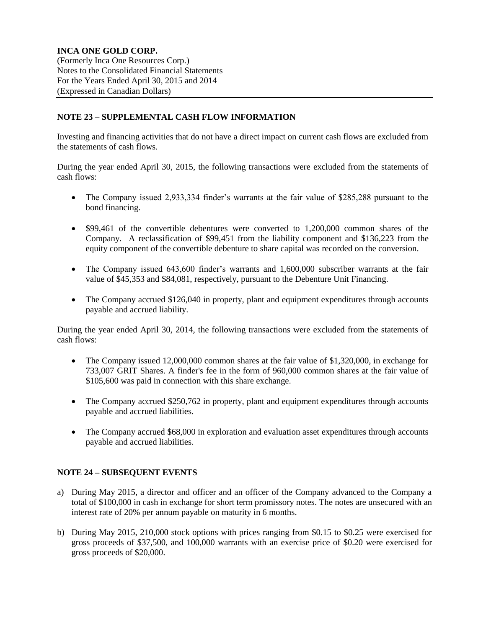# **NOTE 23 – SUPPLEMENTAL CASH FLOW INFORMATION**

Investing and financing activities that do not have a direct impact on current cash flows are excluded from the statements of cash flows.

During the year ended April 30, 2015, the following transactions were excluded from the statements of cash flows:

- The Company issued 2,933,334 finder's warrants at the fair value of \$285,288 pursuant to the bond financing.
- \$99,461 of the convertible debentures were converted to 1,200,000 common shares of the Company. A reclassification of \$99,451 from the liability component and \$136,223 from the equity component of the convertible debenture to share capital was recorded on the conversion.
- The Company issued 643,600 finder's warrants and 1,600,000 subscriber warrants at the fair value of \$45,353 and \$84,081, respectively, pursuant to the Debenture Unit Financing.
- The Company accrued \$126,040 in property, plant and equipment expenditures through accounts payable and accrued liability.

During the year ended April 30, 2014, the following transactions were excluded from the statements of cash flows:

- The Company issued 12,000,000 common shares at the fair value of \$1,320,000, in exchange for 733,007 GRIT Shares. A finder's fee in the form of 960,000 common shares at the fair value of \$105,600 was paid in connection with this share exchange.
- The Company accrued \$250,762 in property, plant and equipment expenditures through accounts payable and accrued liabilities.
- The Company accrued \$68,000 in exploration and evaluation asset expenditures through accounts payable and accrued liabilities.

# **NOTE 24 – SUBSEQUENT EVENTS**

- a) During May 2015, a director and officer and an officer of the Company advanced to the Company a total of \$100,000 in cash in exchange for short term promissory notes. The notes are unsecured with an interest rate of 20% per annum payable on maturity in 6 months.
- b) During May 2015, 210,000 stock options with prices ranging from \$0.15 to \$0.25 were exercised for gross proceeds of \$37,500, and 100,000 warrants with an exercise price of \$0.20 were exercised for gross proceeds of \$20,000.